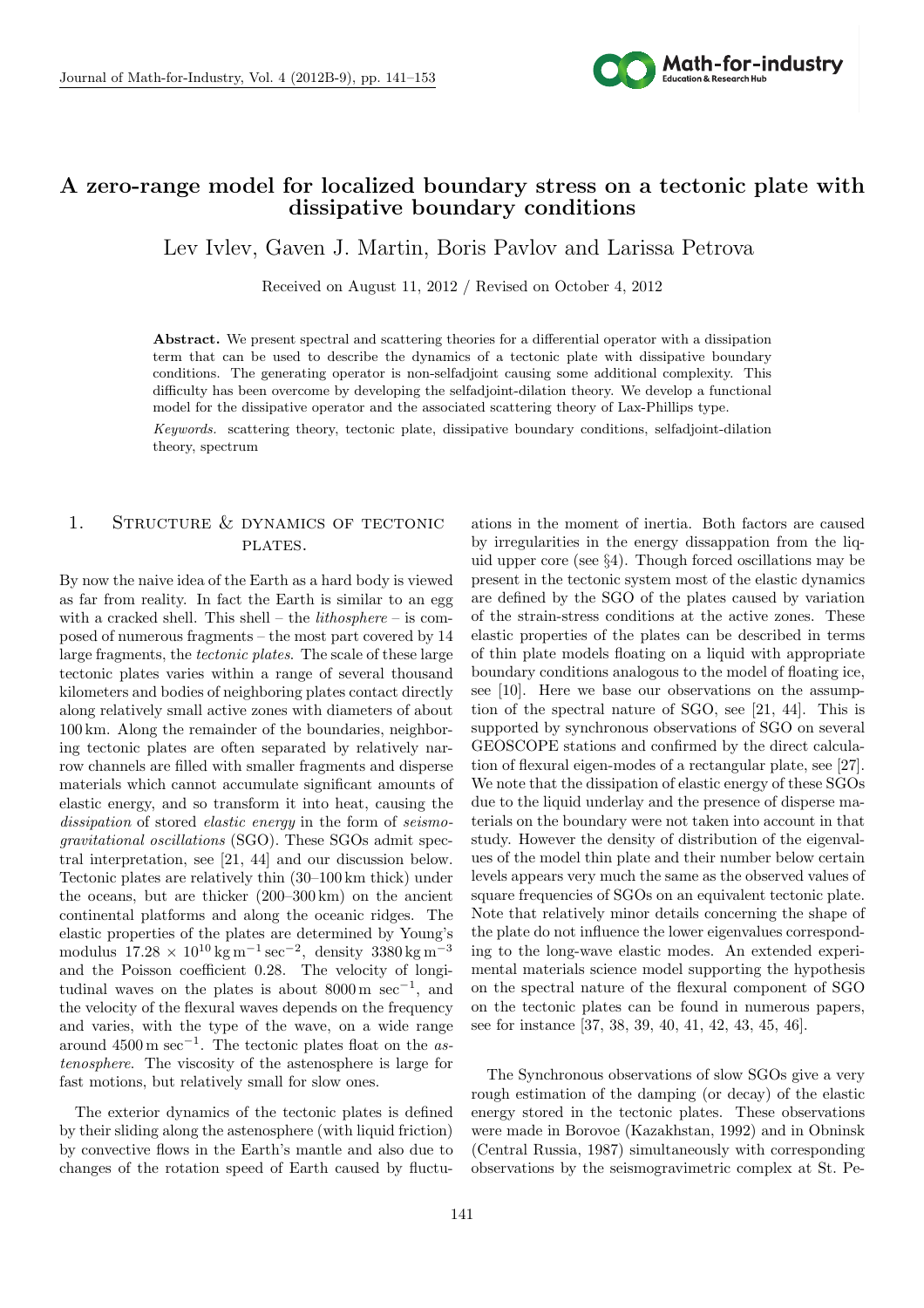

# **A zero-range model for localized boundary stress on a tectonic plate with dissipative boundary conditions**

 $\mathbb{R}^n$ Lev Ivlev, Gaven J. Martin, Boris Pavlov and Larissa Petrova

Received on August 11, 2012 / Revised on October 4, 2012

**Abstract.** We present spectral and scattering theories for a differential operator with a dissipation term that can be used to describe the dynamics of a tectonic plate with dissipative boundary conditions. The generating operator is non-selfadjoint causing some additional complexity. This difficulty has been overcome by developing the selfadjoint-dilation theory. We develop a functional model for the dissipative operator and the associated scattering theory of Lax-Phillips type.

*Keywords.* scattering theory, tectonic plate, dissipative boundary conditions, selfadjoint-dilation theory, spectrum

# 1. STRUCTURE & DYNAMICS OF TECTONIC PLATES.

By now the naive idea of the Earth as a hard body is viewed as far from reality. In fact the Earth is similar to an egg with a cracked shell. This shell – the *lithosphere* – is composed of numerous fragments – the most part covered by 14 large fragments, the *tectonic plates*. The scale of these large tectonic plates varies within a range of several thousand kilometers and bodies of neighboring plates contact directly along relatively small active zones with diameters of about 100 km. Along the remainder of the boundaries, neighboring tectonic plates are often separated by relatively narrow channels are filled with smaller fragments and disperse materials which cannot accumulate significant amounts of elastic energy, and so transform it into heat, causing the *dissipation* of stored *elastic energy* in the form of *seismogravitational oscillations* (SGO). These SGOs admit spectral interpretation, see [21, 44] and our discussion below. Tectonic plates are relatively thin (30–100 km thick) under the oceans, but are thicker (200–300 km) on the ancient continental platforms and along the oceanic ridges. The elastic properties of the plates are determined by Young's modulus 17*.*28 *×* 10<sup>10</sup> kg m*−*<sup>1</sup> sec*−*<sup>2</sup> , density 3380 kg m*−*<sup>3</sup> and the Poisson coefficient 0.28. The velocity of longitudinal waves on the plates is about 8000 m sec*−*<sup>1</sup> , and the velocity of the flexural waves depends on the frequency and varies, with the type of the wave, on a wide range around 4500 m sec*−*<sup>1</sup> . The tectonic plates float on the *astenosphere*. The viscosity of the astenosphere is large for fast motions, but relatively small for slow ones.

The exterior dynamics of the tectonic plates is defined by their sliding along the astenosphere (with liquid friction) by convective flows in the Earth's mantle and also due to changes of the rotation speed of Earth caused by fluctuations in the moment of inertia. Both factors are caused by irregularities in the energy dissappation from the liquid upper core (see *§*4). Though forced oscillations may be present in the tectonic system most of the elastic dynamics are defined by the SGO of the plates caused by variation of the strain-stress conditions at the active zones. These elastic properties of the plates can be described in terms of thin plate models floating on a liquid with appropriate boundary conditions analogous to the model of floating ice, see [10]. Here we base our observations on the assumption of the spectral nature of SGO, see [21, 44]. This is supported by synchronous observations of SGO on several GEOSCOPE stations and confirmed by the direct calculation of flexural eigen-modes of a rectangular plate, see [27]. We note that the dissipation of elastic energy of these SGOs due to the liquid underlay and the presence of disperse materials on the boundary were not taken into account in that study. However the density of distribution of the eigenvalues of the model thin plate and their number below certain levels appears very much the same as the observed values of square frequencies of SGOs on an equivalent tectonic plate. Note that relatively minor details concerning the shape of the plate do not influence the lower eigenvalues corresponding to the long-wave elastic modes. An extended experimental materials science model supporting the hypothesis on the spectral nature of the flexural component of SGO on the tectonic plates can be found in numerous papers, see for instance [37, 38, 39, 40, 41, 42, 43, 45, 46].

The Synchronous observations of slow SGOs give a very rough estimation of the damping (or decay) of the elastic energy stored in the tectonic plates. These observations were made in Borovoe (Kazakhstan, 1992) and in Obninsk (Central Russia, 1987) simultaneously with corresponding observations by the seismogravimetric complex at St. Pe-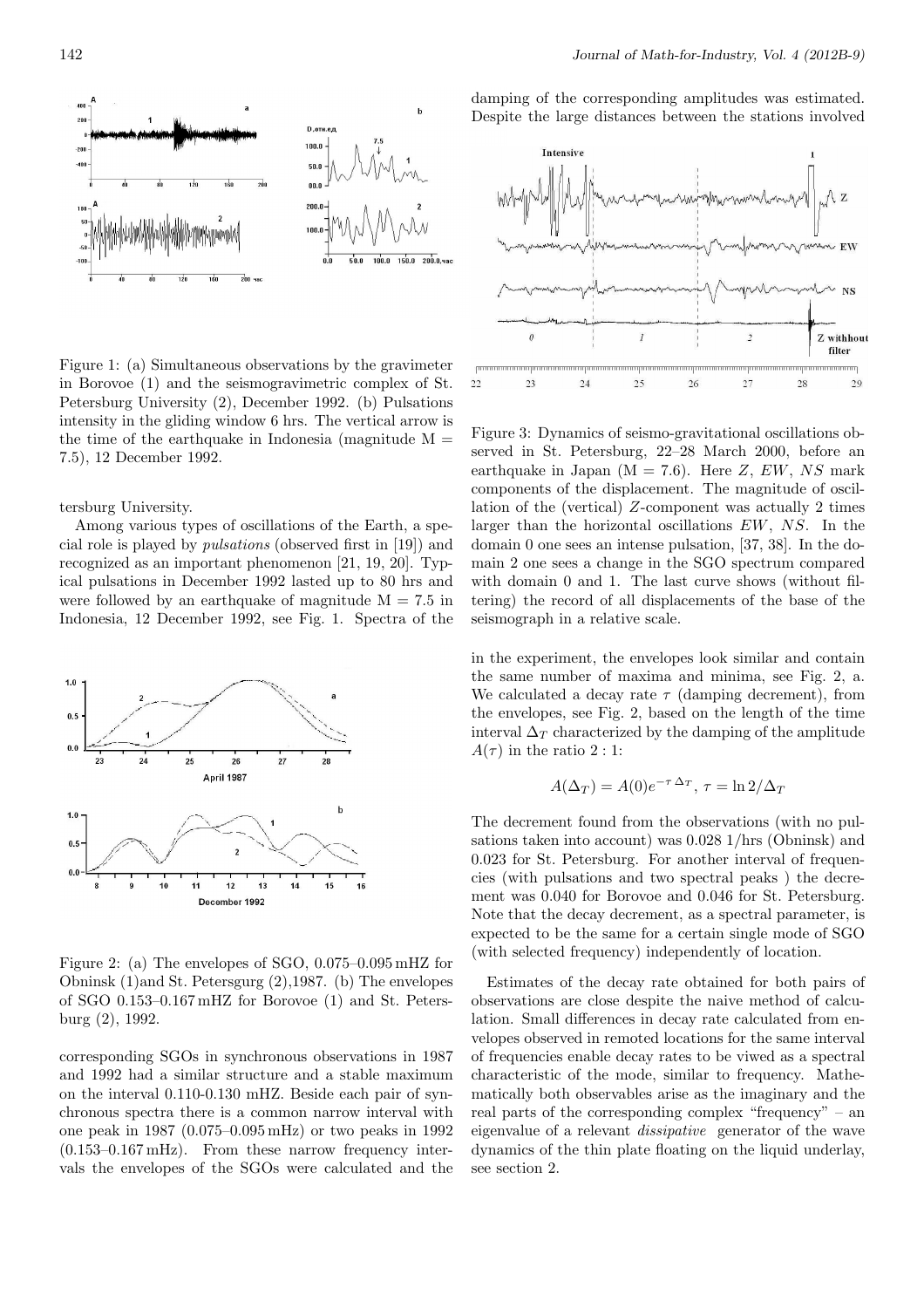

Figure 1: (a) Simultaneous observations by the gravimeter in Borovoe (1) and the seismogravimetric complex of St. Petersburg University (2), December 1992. (b) Pulsations intensity in the gliding window 6 hrs. The vertical arrow is the time of the earthquake in Indonesia (magnitude  $M =$ 7*.*5), 12 December 1992.

### tersburg University.

Among various types of oscillations of the Earth, a special role is played by *pulsations* (observed first in [19]) and recognized as an important phenomenon [21, 19, 20]. Typical pulsations in December 1992 lasted up to 80 hrs and were followed by an earthquake of magnitude  $M = 7.5$  in Indonesia, 12 December 1992, see Fig. 1. Spectra of the



Figure 2: (a) The envelopes of SGO, 0.075–0.095 mHZ for Obninsk (1)and St. Petersgurg (2),1987. (b) The envelopes of SGO 0.153–0.167 mHZ for Borovoe (1) and St. Petersburg (2), 1992.

corresponding SGOs in synchronous observations in 1987 and 1992 had a similar structure and a stable maximum on the interval 0.110-0.130 mHZ. Beside each pair of synchronous spectra there is a common narrow interval with one peak in 1987 (0.075–0.095 mHz) or two peaks in 1992  $(0.153-0.167 \,\mathrm{mHz})$ . From these narrow frequency intervals the envelopes of the SGOs were calculated and the damping of the corresponding amplitudes was estimated. Despite the large distances between the stations involved



Figure 3: Dynamics of seismo-gravitational oscillations observed in St. Petersburg, 22–28 March 2000, before an earthquake in Japan  $(M = 7.6)$ . Here *Z*, *EW*, *NS* mark components of the displacement. The magnitude of oscillation of the (vertical) *Z*-component was actually 2 times larger than the horizontal oscillations *EW*, *NS*. In the domain 0 one sees an intense pulsation, [37, 38]. In the domain 2 one sees a change in the SGO spectrum compared with domain 0 and 1. The last curve shows (without filtering) the record of all displacements of the base of the seismograph in a relative scale.

in the experiment, the envelopes look similar and contain the same number of maxima and minima, see Fig. 2, a. We calculated a decay rate  $\tau$  (damping decrement), from the envelopes, see Fig. 2, based on the length of the time interval  $\Delta_T$  characterized by the damping of the amplitude  $A(\tau)$  in the ratio 2 : 1:

$$
A(\Delta_T) = A(0)e^{-\tau \Delta_T}, \tau = \ln 2/\Delta_T
$$

The decrement found from the observations (with no pulsations taken into account) was 0.028 1/hrs (Obninsk) and 0.023 for St. Petersburg. For another interval of frequencies (with pulsations and two spectral peaks ) the decrement was 0.040 for Borovoe and 0.046 for St. Petersburg. Note that the decay decrement, as a spectral parameter, is expected to be the same for a certain single mode of SGO (with selected frequency) independently of location.

Estimates of the decay rate obtained for both pairs of observations are close despite the naive method of calculation. Small differences in decay rate calculated from envelopes observed in remoted locations for the same interval of frequencies enable decay rates to be viwed as a spectral characteristic of the mode, similar to frequency. Mathematically both observables arise as the imaginary and the real parts of the corresponding complex "frequency" – an eigenvalue of a relevant *dissipative* generator of the wave dynamics of the thin plate floating on the liquid underlay, see section 2.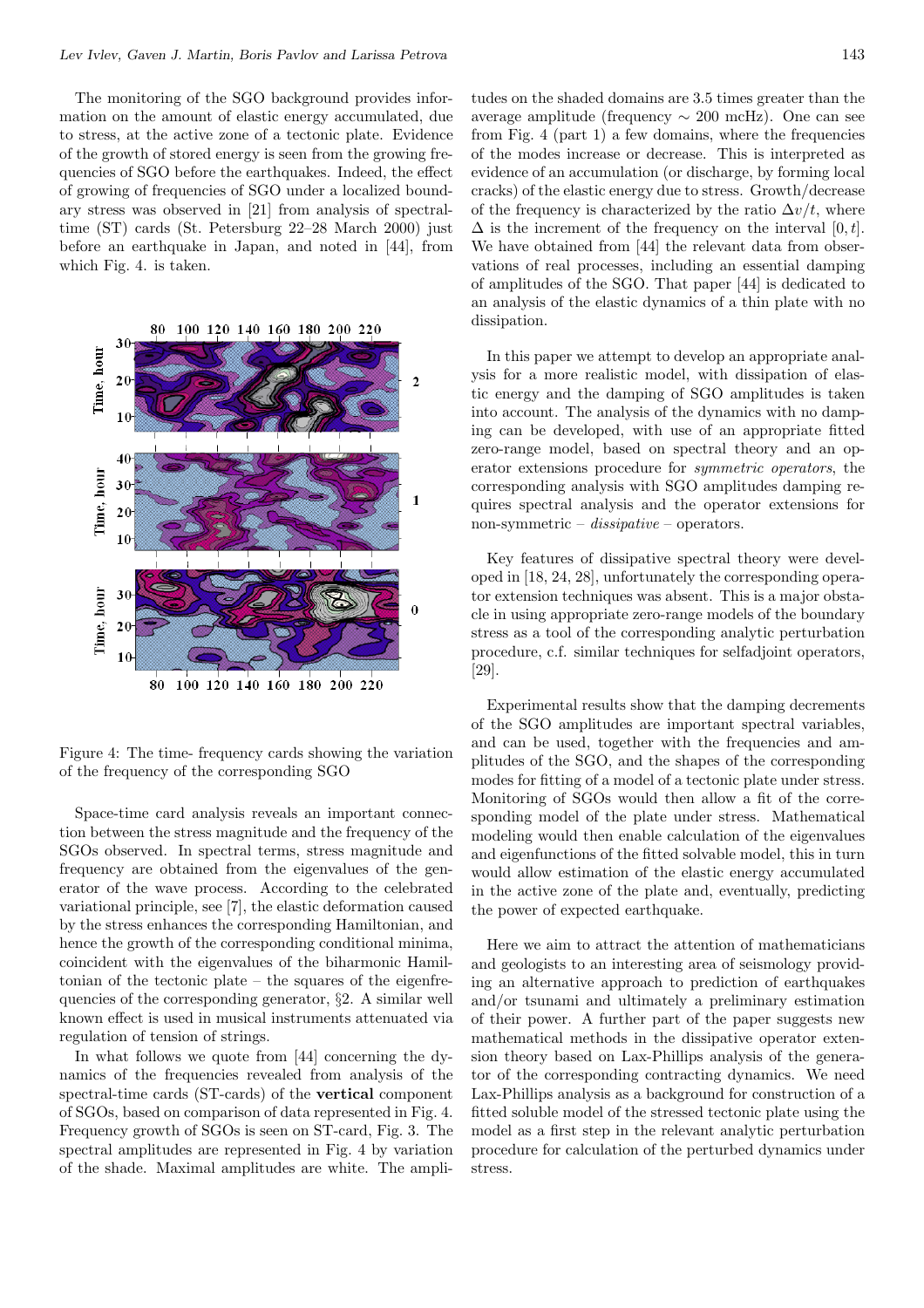The monitoring of the SGO background provides information on the amount of elastic energy accumulated, due to stress, at the active zone of a tectonic plate. Evidence of the growth of stored energy is seen from the growing frequencies of SGO before the earthquakes. Indeed, the effect of growing of frequencies of SGO under a localized boundary stress was observed in [21] from analysis of spectraltime (ST) cards (St. Petersburg 22–28 March 2000) just before an earthquake in Japan, and noted in [44], from which Fig. 4. is taken.



Figure 4: The time- frequency cards showing the variation of the frequency of the corresponding SGO

Space-time card analysis reveals an important connection between the stress magnitude and the frequency of the SGOs observed. In spectral terms, stress magnitude and frequency are obtained from the eigenvalues of the generator of the wave process. According to the celebrated variational principle, see [7], the elastic deformation caused by the stress enhances the corresponding Hamiltonian, and hence the growth of the corresponding conditional minima, coincident with the eigenvalues of the biharmonic Hamiltonian of the tectonic plate – the squares of the eigenfrequencies of the corresponding generator, *§*2. A similar well known effect is used in musical instruments attenuated via regulation of tension of strings.

In what follows we quote from [44] concerning the dynamics of the frequencies revealed from analysis of the spectral-time cards (ST-cards) of the **vertical** component of SGOs, based on comparison of data represented in Fig. 4. Frequency growth of SGOs is seen on ST-card, Fig. 3. The spectral amplitudes are represented in Fig. 4 by variation of the shade. Maximal amplitudes are white. The ampli-

tudes on the shaded domains are 3.5 times greater than the average amplitude (frequency *∼* 200 mcHz). One can see from Fig. 4 (part 1) a few domains, where the frequencies of the modes increase or decrease. This is interpreted as evidence of an accumulation (or discharge, by forming local cracks) of the elastic energy due to stress. Growth/decrease of the frequency is characterized by the ratio  $\Delta v/t$ , where  $\Delta$  is the increment of the frequency on the interval [0, t]. We have obtained from [44] the relevant data from observations of real processes, including an essential damping of amplitudes of the SGO. That paper [44] is dedicated to an analysis of the elastic dynamics of a thin plate with no dissipation.

In this paper we attempt to develop an appropriate analysis for a more realistic model, with dissipation of elastic energy and the damping of SGO amplitudes is taken into account. The analysis of the dynamics with no damping can be developed, with use of an appropriate fitted zero-range model, based on spectral theory and an operator extensions procedure for *symmetric operators*, the corresponding analysis with SGO amplitudes damping requires spectral analysis and the operator extensions for non-symmetric – *dissipative* – operators.

Key features of dissipative spectral theory were developed in [18, 24, 28], unfortunately the corresponding operator extension techniques was absent. This is a major obstacle in using appropriate zero-range models of the boundary stress as a tool of the corresponding analytic perturbation procedure, c.f. similar techniques for selfadjoint operators, [29].

Experimental results show that the damping decrements of the SGO amplitudes are important spectral variables, and can be used, together with the frequencies and amplitudes of the SGO, and the shapes of the corresponding modes for fitting of a model of a tectonic plate under stress. Monitoring of SGOs would then allow a fit of the corresponding model of the plate under stress. Mathematical modeling would then enable calculation of the eigenvalues and eigenfunctions of the fitted solvable model, this in turn would allow estimation of the elastic energy accumulated in the active zone of the plate and, eventually, predicting the power of expected earthquake.

Here we aim to attract the attention of mathematicians and geologists to an interesting area of seismology providing an alternative approach to prediction of earthquakes and/or tsunami and ultimately a preliminary estimation of their power. A further part of the paper suggests new mathematical methods in the dissipative operator extension theory based on Lax-Phillips analysis of the generator of the corresponding contracting dynamics. We need Lax-Phillips analysis as a background for construction of a fitted soluble model of the stressed tectonic plate using the model as a first step in the relevant analytic perturbation procedure for calculation of the perturbed dynamics under stress.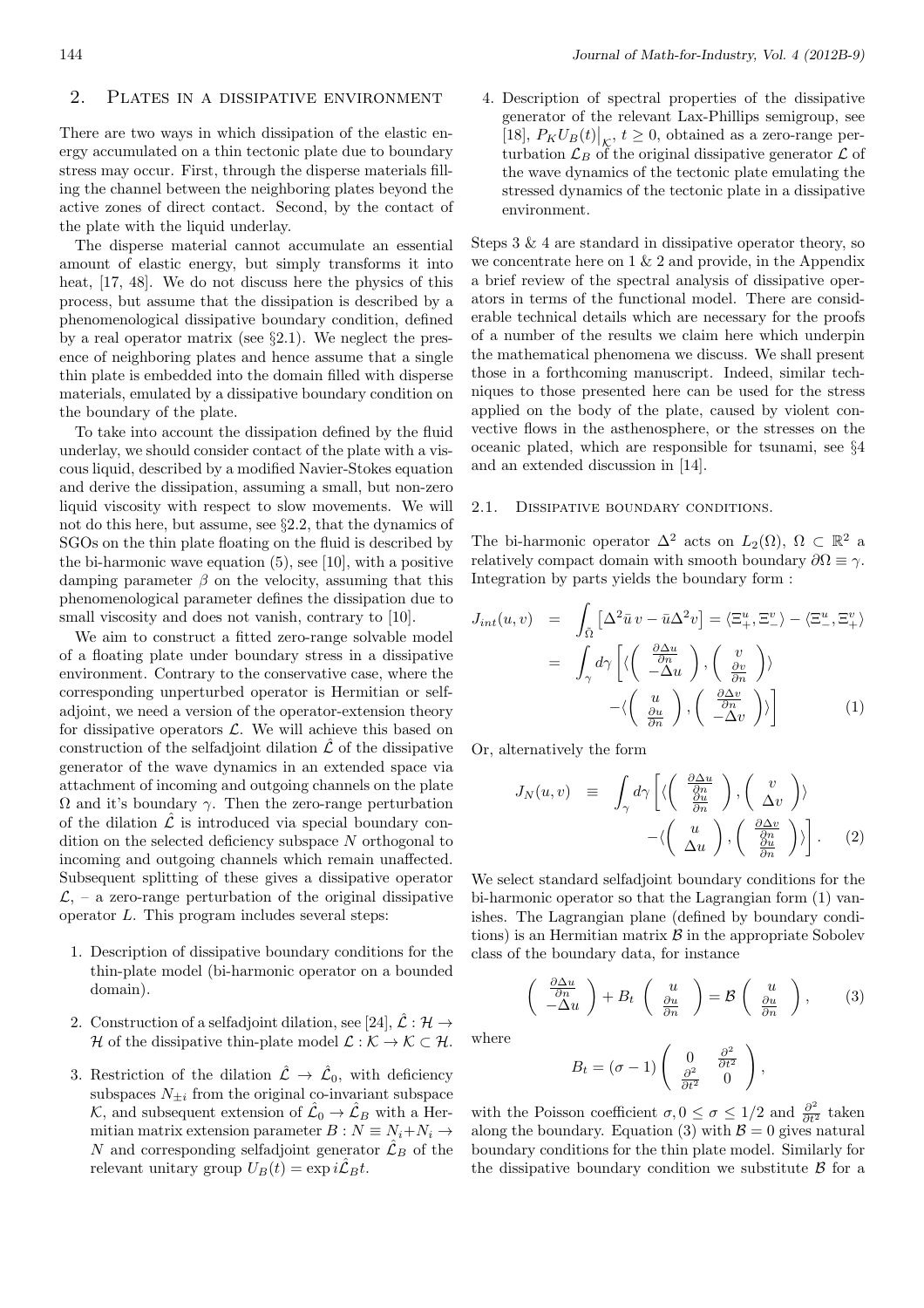# 2. Plates in a dissipative environment

There are two ways in which dissipation of the elastic energy accumulated on a thin tectonic plate due to boundary stress may occur. First, through the disperse materials filling the channel between the neighboring plates beyond the active zones of direct contact. Second, by the contact of the plate with the liquid underlay.

The disperse material cannot accumulate an essential amount of elastic energy, but simply transforms it into heat, [17, 48]. We do not discuss here the physics of this process, but assume that the dissipation is described by a phenomenological dissipative boundary condition, defined by a real operator matrix (see *§*2.1). We neglect the presence of neighboring plates and hence assume that a single thin plate is embedded into the domain filled with disperse materials, emulated by a dissipative boundary condition on the boundary of the plate.

To take into account the dissipation defined by the fluid underlay, we should consider contact of the plate with a viscous liquid, described by a modified Navier-Stokes equation and derive the dissipation, assuming a small, but non-zero liquid viscosity with respect to slow movements. We will not do this here, but assume, see *§*2.2, that the dynamics of SGOs on the thin plate floating on the fluid is described by the bi-harmonic wave equation (5), see [10], with a positive damping parameter  $\beta$  on the velocity, assuming that this phenomenological parameter defines the dissipation due to small viscosity and does not vanish, contrary to [10].

We aim to construct a fitted zero-range solvable model of a floating plate under boundary stress in a dissipative environment. Contrary to the conservative case, where the corresponding unperturbed operator is Hermitian or selfadjoint, we need a version of the operator-extension theory for dissipative operators *L*. We will achieve this based on construction of the selfadjoint dilation  $\hat{\mathcal{L}}$  of the dissipative generator of the wave dynamics in an extended space via attachment of incoming and outgoing channels on the plate Ω and it's boundary *γ*. Then the zero-range perturbation of the dilation  $\mathcal L$  is introduced via special boundary condition on the selected deficiency subspace *N* orthogonal to incoming and outgoing channels which remain unaffected. Subsequent splitting of these gives a dissipative operator  $\mathcal{L}$ , – a zero-range perturbation of the original dissipative operator *L*. This program includes several steps:

- 1. Description of dissipative boundary conditions for the thin-plate model (bi-harmonic operator on a bounded domain).
- 2. Construction of a selfadjoint dilation, see [24],  $\hat{\mathcal{L}} : \mathcal{H} \to$ *H* of the dissipative thin-plate model  $\mathcal{L}: \mathcal{K} \to \mathcal{K} \subset \mathcal{H}$ .
- 3. Restriction of the dilation  $\hat{\mathcal{L}} \to \hat{\mathcal{L}}_0$ , with deficiency subspaces  $N_{\pm i}$  from the original co-invariant subspace  $K$ , and subsequent extension of  $\hat{\mathcal{L}}_0 \to \hat{\mathcal{L}}_B$  with a Hermitian matrix extension parameter  $B: N \equiv N_i + N_i \rightarrow$ *N* and corresponding selfadjoint generator  $\mathcal{L}_B$  of the relevant unitary group  $U_B(t) = \exp i \hat{\mathcal{L}}_B t$ .

4. Description of spectral properties of the dissipative generator of the relevant Lax-Phillips semigroup, see  $[18]$ ,  $P_K U_B(t)|_{\mathcal{K}}$ ,  $t \geq 0$ , obtained as a zero-range perturbation  $\mathcal{L}_B$  of the original dissipative generator  $\mathcal L$  of the wave dynamics of the tectonic plate emulating the stressed dynamics of the tectonic plate in a dissipative environment.

Steps 3 & 4 are standard in dissipative operator theory, so we concentrate here on  $1 \& 2$  and provide, in the Appendix a brief review of the spectral analysis of dissipative operators in terms of the functional model. There are considerable technical details which are necessary for the proofs of a number of the results we claim here which underpin the mathematical phenomena we discuss. We shall present those in a forthcoming manuscript. Indeed, similar techniques to those presented here can be used for the stress applied on the body of the plate, caused by violent convective flows in the asthenosphere, or the stresses on the oceanic plated, which are responsible for tsunami, see *§*4 and an extended discussion in [14].

### 2.1. DISSIPATIVE BOUNDARY CONDITIONS.

The bi-harmonic operator  $\Delta^2$  acts on  $L_2(\Omega)$ ,  $\Omega \subset \mathbb{R}^2$  a relatively compact domain with smooth boundary  $\partial\Omega \equiv \gamma$ . Integration by parts yields the boundary form :

$$
J_{int}(u, v) = \int_{\tilde{\Omega}} \left[ \Delta^2 \bar{u} \, v - \bar{u} \Delta^2 v \right] = \langle \Xi_+^u, \Xi_-^v \rangle - \langle \Xi_-^u, \Xi_+^v \rangle
$$

$$
= \int_{\gamma} d\gamma \left[ \langle \left( \begin{array}{c} \frac{\partial \Delta u}{\partial n} \\ -\Delta u \end{array} \right), \left( \begin{array}{c} v \\ \frac{\partial v}{\partial n} \\ -\Delta v \end{array} \right) \rangle \right]
$$

$$
- \langle \left( \begin{array}{c} u \\ \frac{\partial u}{\partial n} \end{array} \right), \left( \begin{array}{c} \frac{\partial \Delta v}{\partial n} \\ -\Delta v \end{array} \right) \rangle \right]
$$
(1)

Or, alternatively the form

$$
J_N(u, v) \equiv \int_{\gamma} d\gamma \left[ \langle \left( \begin{array}{c} \frac{\partial \Delta u}{\partial n} \\ \frac{\partial u}{\partial n} \end{array} \right), \left( \begin{array}{c} v \\ \Delta v \end{array} \right) \rangle - \langle \left( \begin{array}{c} u \\ \Delta u \end{array} \right), \left( \begin{array}{c} \frac{\partial \Delta v}{\partial n} \\ \frac{\partial u}{\partial n} \end{array} \right) \rangle \right].
$$
 (2)

We select standard selfadjoint boundary conditions for the bi-harmonic operator so that the Lagrangian form (1) vanishes. The Lagrangian plane (defined by boundary conditions) is an Hermitian matrix *B* in the appropriate Sobolev class of the boundary data, for instance

$$
\begin{pmatrix}\n\frac{\partial \Delta u}{\partial n} \\
-\Delta u\n\end{pmatrix} + B_t \begin{pmatrix}\nu \\
\frac{\partial u}{\partial n}\n\end{pmatrix} = \mathcal{B} \begin{pmatrix}\nu \\
\frac{\partial u}{\partial n}\n\end{pmatrix},
$$
\n(3)

where

$$
B_t = (\sigma - 1) \begin{pmatrix} 0 & \frac{\partial^2}{\partial t^2} \\ \frac{\partial^2}{\partial t^2} & 0 \end{pmatrix},
$$

with the Poisson coefficient  $\sigma$ ,  $0 \le \sigma \le 1/2$  and  $\frac{\partial^2}{\partial t^2}$  taken along the boundary. Equation (3) with  $\mathcal{B} = 0$  gives natural boundary conditions for the thin plate model. Similarly for the dissipative boundary condition we substitute *B* for a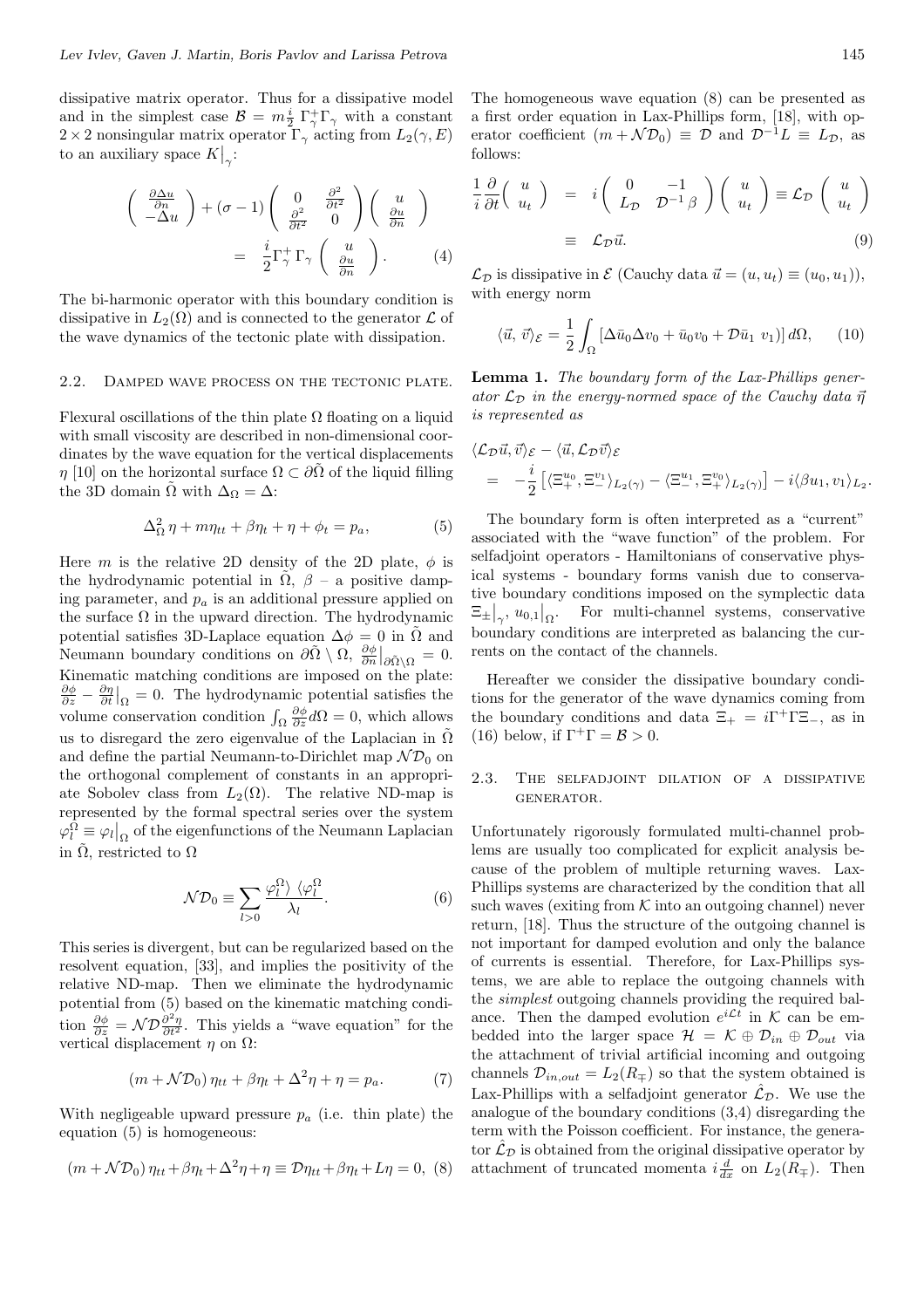dissipative matrix operator. Thus for a dissipative model and in the simplest case  $\mathcal{B} = m \frac{i}{2} \Gamma_{\gamma}^{+} \Gamma_{\gamma}$  with a constant 2 *×* 2 nonsingular matrix operator Γ*<sup>γ</sup>* acting from *L*2(*γ, E*) to an auxiliary space  $K|_{\gamma}$ :

$$
\begin{pmatrix}\n\frac{\partial \Delta u}{\partial n} \\
-\Delta u\n\end{pmatrix} + (\sigma - 1) \begin{pmatrix}\n0 & \frac{\partial^2}{\partial t^2} \\
\frac{\partial^2}{\partial t^2} & 0\n\end{pmatrix} \begin{pmatrix}\nu \\
\frac{\partial u}{\partial n}\n\end{pmatrix}
$$
\n
$$
= \frac{i}{2} \Gamma_{\gamma}^+ \Gamma_{\gamma} \begin{pmatrix}\nu \\
\frac{\partial u}{\partial n}\n\end{pmatrix} . \qquad (4)
$$

*i*

The bi-harmonic operator with this boundary condition is dissipative in  $L_2(\Omega)$  and is connected to the generator  $\mathcal L$  of the wave dynamics of the tectonic plate with dissipation.

### 2.2. Damped wave process on the tectonic plate.

Flexural oscillations of the thin plate  $\Omega$  floating on a liquid with small viscosity are described in non-dimensional coordinates by the wave equation for the vertical displacements *η* [10] on the horizontal surface  $\Omega \subset \partial \tilde{\Omega}$  of the liquid filling the 3D domain  $\hat{\Omega}$  with  $\Delta_{\Omega} = \Delta$ :

$$
\Delta_{\Omega}^2 \eta + m\eta_{tt} + \beta \eta_t + \eta + \phi_t = p_a, \qquad (5)
$$

Here *m* is the relative 2D density of the 2D plate,  $\phi$  is the hydrodynamic potential in  $\tilde{\Omega}$ ,  $\beta$  – a positive damping parameter, and *p<sup>a</sup>* is an additional pressure applied on the surface  $\Omega$  in the upward direction. The hydrodynamic potential satisfies 3D-Laplace equation  $\Delta \phi = 0$  in  $\tilde{\Omega}$  and Neumann boundary conditions on  $\partial \tilde{\Omega} \setminus \Omega$ ,  $\frac{\partial \phi}{\partial n}|_{\partial \tilde{\Omega} \setminus \Omega} = 0$ . Kinematic matching conditions are imposed on the plate:  $\frac{\partial \phi}{\partial z} - \frac{\partial \eta}{\partial t}\big|_{\Omega} = 0$ . The hydrodynamic potential satisfies the volume conservation condition  $\int_{\Omega} \frac{\partial \phi}{\partial z} d\Omega = 0$ , which allows us to disregard the zero eigenvalue of the Laplacian in  $\tilde{\Omega}$ and define the partial Neumann-to-Dirichlet map  $\mathcal{ND}_0$  on the orthogonal complement of constants in an appropriate Sobolev class from  $L_2(\Omega)$ . The relative ND-map is represented by the formal spectral series over the system  $\varphi_l^{\Omega} \equiv \varphi_l|_{\Omega}$  of the eigenfunctions of the Neumann Laplacian in  $\tilde{\Omega}$ , restricted to  $\Omega$ 

$$
\mathcal{N}\mathcal{D}_0 \equiv \sum_{l>0} \frac{\varphi_l^{\Omega} \rangle \ \langle \varphi_l^{\Omega}}{\lambda_l}.
$$
 (6)

This series is divergent, but can be regularized based on the resolvent equation, [33], and implies the positivity of the relative ND-map. Then we eliminate the hydrodynamic potential from (5) based on the kinematic matching condition  $\frac{\partial \phi}{\partial z} = \mathcal{N} \mathcal{D} \frac{\partial^2 \eta}{\partial t^2}$ . This yields a "wave equation" for the vertical displacement  $\eta$  on  $\Omega$ :

$$
(m + \mathcal{N}\mathcal{D}_0)\,\eta_{tt} + \beta\eta_t + \Delta^2\eta + \eta = p_a. \tag{7}
$$

With negligeable upward pressure  $p_a$  (i.e. thin plate) the equation (5) is homogeneous:

$$
(m + \mathcal{N}\mathcal{D}_0)\eta_{tt} + \beta\eta_t + \Delta^2\eta + \eta \equiv \mathcal{D}\eta_{tt} + \beta\eta_t + L\eta = 0, (8)
$$

The homogeneous wave equation (8) can be presented as a first order equation in Lax-Phillips form, [18], with operator coefficient  $(m + \mathcal{N}\mathcal{D}_0) \equiv \mathcal{D}$  and  $\mathcal{D}^{-1}L \equiv L_{\mathcal{D}}$ , as follows:

$$
\frac{1}{i}\frac{\partial}{\partial t}\begin{pmatrix} u \\ u_t \end{pmatrix} = i\begin{pmatrix} 0 & -1 \\ L_{\mathcal{D}} & \mathcal{D}^{-1}\beta \end{pmatrix}\begin{pmatrix} u \\ u_t \end{pmatrix} \equiv \mathcal{L}_{\mathcal{D}}\begin{pmatrix} u \\ u_t \end{pmatrix}
$$

$$
\equiv \mathcal{L}_{\mathcal{D}}\vec{u}.
$$
(9)

 $\mathcal{L}_{\mathcal{D}}$  is dissipative in  $\mathcal{E}$  (Cauchy data  $\vec{u} = (u, u_t) \equiv (u_0, u_1)$ ), with energy norm

$$
\langle \vec{u}, \vec{v} \rangle_{\mathcal{E}} = \frac{1}{2} \int_{\Omega} \left[ \Delta \bar{u}_0 \Delta v_0 + \bar{u}_0 v_0 + \mathcal{D} \bar{u}_1 v_1 \right] d\Omega, \qquad (10)
$$

**Lemma 1.** *The boundary form of the Lax-Phillips generator*  $\mathcal{L}_{\mathcal{D}}$  *in the energy-normed space of the Cauchy data*  $\vec{\eta}$ *is represented as*

$$
\langle \mathcal{L}_{\mathcal{D}} \vec{u}, \vec{v} \rangle_{\mathcal{E}} - \langle \vec{u}, \mathcal{L}_{\mathcal{D}} \vec{v} \rangle_{\mathcal{E}}
$$
  
=  $-\frac{i}{2} \left[ \langle \Xi_{+}^{u_0}, \Xi_{-}^{v_1} \rangle_{L_2(\gamma)} - \langle \Xi_{-}^{u_1}, \Xi_{+}^{v_0} \rangle_{L_2(\gamma)} \right] - i \langle \beta u_1, v_1 \rangle_{L_2}.$ 

The boundary form is often interpreted as a "current" associated with the "wave function" of the problem. For selfadjoint operators - Hamiltonians of conservative physical systems - boundary forms vanish due to conservative boundary conditions imposed on the symplectic data  $\Xi_{\pm}\big|_{\gamma},u_{0,1}\big|_{\Omega}$ . For multi-channel systems, conservative boundary conditions are interpreted as balancing the currents on the contact of the channels.

Hereafter we consider the dissipative boundary conditions for the generator of the wave dynamics coming from the boundary conditions and data  $\Xi_+ = i\Gamma^+\Gamma\Xi_-,$  as in (16) below, if  $\Gamma^+\Gamma = \mathcal{B} > 0$ .

### 2.3. The selfadjoint dilation of a dissipative generator.

Unfortunately rigorously formulated multi-channel problems are usually too complicated for explicit analysis because of the problem of multiple returning waves. Lax-Phillips systems are characterized by the condition that all such waves (exiting from  $K$  into an outgoing channel) never return, [18]. Thus the structure of the outgoing channel is not important for damped evolution and only the balance of currents is essential. Therefore, for Lax-Phillips systems, we are able to replace the outgoing channels with the *simplest* outgoing channels providing the required balance. Then the damped evolution  $e^{i\mathcal{L}t}$  in  $\mathcal K$  can be embedded into the larger space  $\mathcal{H} = \mathcal{K} \oplus \mathcal{D}_{in} \oplus \mathcal{D}_{out}$  via the attachment of trivial artificial incoming and outgoing channels  $\mathcal{D}_{in,out} = L_2(R_{\mp})$  so that the system obtained is Lax-Phillips with a selfadjoint generator  $\hat{\mathcal{L}}_{\mathcal{D}}$ . We use the analogue of the boundary conditions (3,4) disregarding the term with the Poisson coefficient. For instance, the generator  $\mathcal{L}_{\mathcal{D}}$  is obtained from the original dissipative operator by attachment of truncated momenta  $i\frac{d}{dx}$  on  $L_2(R_{\mp})$ . Then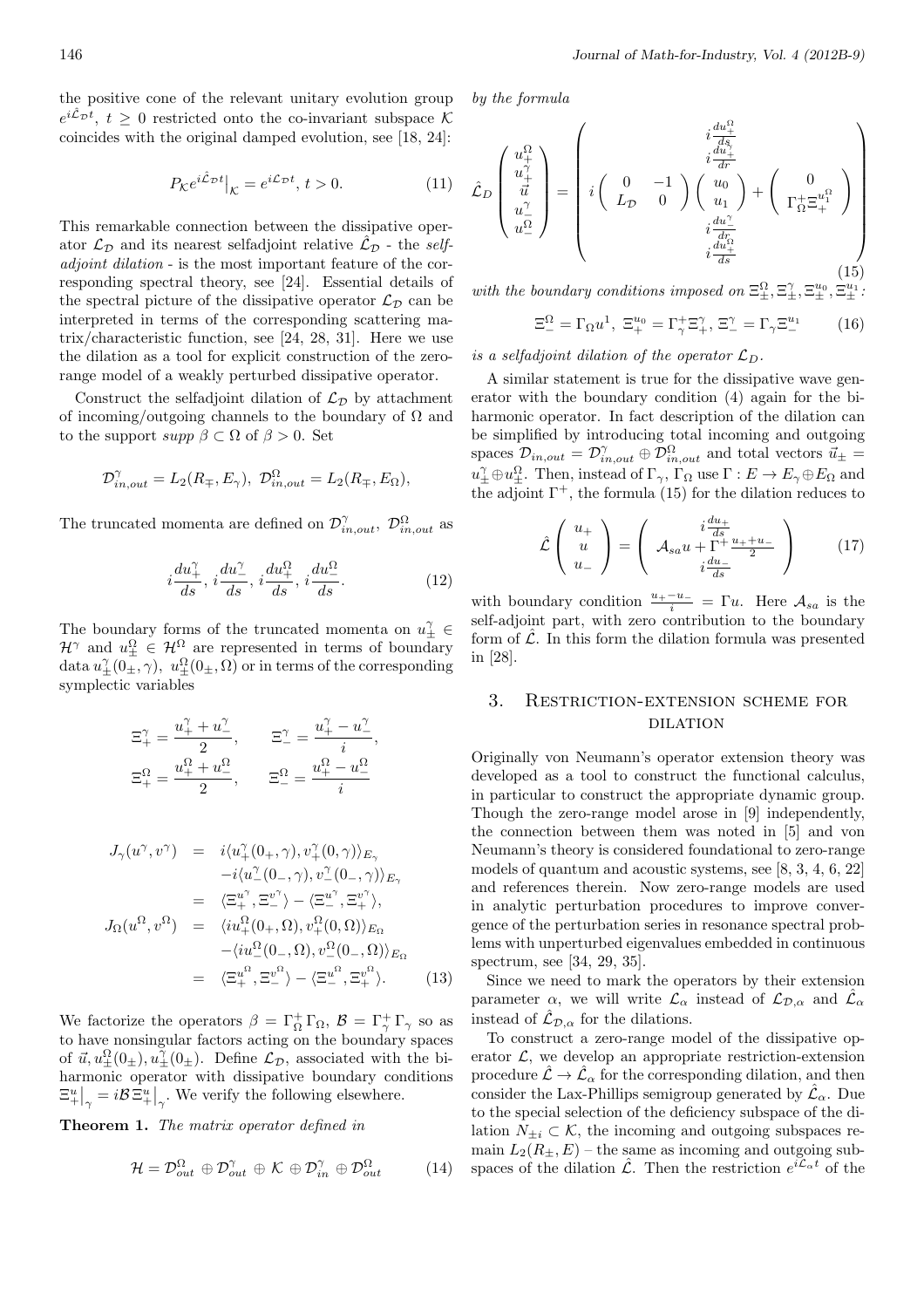the positive cone of the relevant unitary evolution group  $e^{i\hat{\mathcal{L}}_{\mathcal{D}}t}$ ,  $t \geq 0$  restricted onto the co-invariant subspace  $\mathcal{K}$ coincides with the original damped evolution, see [18, 24]:

$$
P_{\mathcal{K}}e^{i\hat{\mathcal{L}}_{\mathcal{D}}t}\big|_{\mathcal{K}} = e^{i\mathcal{L}_{\mathcal{D}}t}, \, t > 0. \tag{11}
$$

This remarkable connection between the dissipative operator  $\mathcal{L}_{\mathcal{D}}$  and its nearest selfadjoint relative  $\mathcal{L}_{\mathcal{D}}$  - the *selfadjoint dilation* - is the most important feature of the corresponding spectral theory, see [24]. Essential details of the spectral picture of the dissipative operator  $\mathcal{L}_{\mathcal{D}}$  can be interpreted in terms of the corresponding scattering matrix/characteristic function, see [24, 28, 31]. Here we use the dilation as a tool for explicit construction of the zerorange model of a weakly perturbed dissipative operator.

Construct the selfadjoint dilation of  $\mathcal{L}_{\mathcal{D}}$  by attachment of incoming/outgoing channels to the boundary of  $\Omega$  and to the support  $supp \beta \subset \Omega$  of  $\beta > 0$ . Set

$$
\mathcal{D}_{in,out}^{\gamma} = L_2(R_{\mp}, E_{\gamma}), \ \mathcal{D}_{in,out}^{\Omega} = L_2(R_{\mp}, E_{\Omega}),
$$

The truncated momenta are defined on  $\mathcal{D}^{\gamma}_{in,out}$ ,  $\mathcal{D}^{\Omega}_{in,out}$  as

$$
i\frac{du_+^\gamma}{ds},\,i\frac{du_-^\gamma}{ds},\,i\frac{du_+^\Omega}{ds},\,i\frac{du_-^\Omega}{ds}.\tag{12}
$$

The boundary forms of the truncated momenta on  $u^{\gamma}_{\pm} \in$  $\mathcal{H}^{\gamma}$  and  $u_{\pm}^{\Omega} \in \mathcal{H}^{\Omega}$  are represented in terms of boundary data  $u^{\gamma}_{\pm}(0_{\pm},\gamma)$ ,  $u^{\Omega}_{\pm}(0_{\pm},\Omega)$  or in terms of the corresponding symplectic variables

$$
\begin{aligned} \Xi_+^\gamma &= \frac{u_+^\gamma + u_-^\gamma}{2}, \qquad \Xi_-^\gamma = \frac{u_+^\gamma - u_-^\gamma}{i}, \\ \Xi_+^\Omega &= \frac{u_+^\Omega + u_-^\Omega}{2}, \qquad \Xi_-^\Omega = \frac{u_+^\Omega - u_-^\Omega}{i} \end{aligned}
$$

$$
J_{\gamma}(u^{\gamma},v^{\gamma}) = i\langle u_{+}^{\gamma}(0_{+},\gamma),v_{+}^{\gamma}(0,\gamma)\rangle_{E_{\gamma}}
$$
  
\t
$$
-i\langle u_{-}^{\gamma}(0_{-},\gamma),v_{-}^{\gamma}(0_{-},\gamma)\rangle_{E_{\gamma}}
$$
  
\t
$$
= \langle \Xi_{+}^{u^{\gamma}},\Xi_{-}^{v^{\gamma}}\rangle - \langle \Xi_{-}^{u^{\gamma}},\Xi_{+}^{v^{\gamma}}\rangle,
$$
  
\t
$$
J_{\Omega}(u^{\Omega},v^{\Omega}) = \langle i u_{+}^{\Omega}(0_{+},\Omega),v_{+}^{\Omega}(0,\Omega)\rangle_{E_{\Omega}}
$$
  
\t
$$
- \langle i u_{-}^{\Omega}(0_{-},\Omega),v_{-}^{\Omega}(0_{-},\Omega)\rangle_{E_{\Omega}}
$$
  
\t
$$
= \langle \Xi_{+}^{u^{\Omega}},\Xi_{-}^{v^{\Omega}}\rangle - \langle \Xi_{-}^{u^{\Omega}},\Xi_{+}^{v^{\Omega}}\rangle.
$$
 (13)

We factorize the operators  $\beta = \Gamma_{\Omega}^{+} \Gamma_{\Omega}, \ \mathcal{B} = \Gamma_{\gamma}^{+} \Gamma_{\gamma}$  so as to have nonsingular factors acting on the boundary spaces of  $\vec{u}, u^{\Omega}_{\pm}(0_{\pm}), u^{\gamma}_{\pm}(0_{\pm})$ . Define  $\mathcal{L}_{\mathcal{D}}$ , associated with the biharmonic operator with dissipative boundary conditions  $\mathbb{E}_{+}^{u}|_{\gamma} = i\mathcal{B} \mathbb{E}_{+}^{u}|_{\gamma}$ . We verify the following elsewhere.

**Theorem 1.** *The matrix operator defined in*

$$
\mathcal{H} = \mathcal{D}_{out}^{\Omega} \oplus \mathcal{D}_{out}^{\gamma} \oplus \mathcal{K} \oplus \mathcal{D}_{in}^{\gamma} \oplus \mathcal{D}_{out}^{\Omega} \tag{14}
$$

*by the formula*

$$
\hat{\mathcal{L}}_{D}\begin{pmatrix} u_{+}^{\Omega} \\ u_{+}^{\Uparrow} \\ \vec{u} \\ u_{-}^{\Omega} \end{pmatrix} = \begin{pmatrix} i\frac{du_{+}^{\Omega}}{ds} \\ i\frac{du_{+}^{\Uparrow}}{dr} \\ i\left(\begin{array}{cc} 0 & -1 \\ L_{\mathcal{D}} & 0 \end{array}\right) \begin{pmatrix} u_{0} \\ u_{0} \\ u_{1} \end{pmatrix} + \begin{pmatrix} 0 \\ \Gamma_{\Omega}^{\perp} \Xi_{+}^{u_{1}^{\Omega}} \end{pmatrix} \\ i\frac{du_{+}^{\Uparrow}}{ds} \end{pmatrix} \tag{15}
$$

*with the boundary conditions imposed on*  $\Xi_{\pm}^{\Omega}, \Xi_{\pm}^{\gamma}, \Xi_{\pm}^{u_0}, \Xi_{\pm}^{u_1}$ .

$$
\Xi_-^{\Omega} = \Gamma_{\Omega} u^1, \ \Xi_+^{u_0} = \Gamma_\gamma^+ \Xi_\gamma^\gamma, \ \Xi_-^{\gamma} = \Gamma_\gamma \Xi_-^{u_1} \tag{16}
$$

*is a selfadjoint dilation of the operator*  $\mathcal{L}_D$ *.* 

A similar statement is true for the dissipative wave generator with the boundary condition (4) again for the biharmonic operator. In fact description of the dilation can be simplified by introducing total incoming and outgoing spaces  $\mathcal{D}_{in,out} = \mathcal{D}_{in,out}^{\gamma} \oplus \mathcal{D}_{in,out}^{\Omega}$  and total vectors  $\vec{u}_{\pm} =$  $u_{\pm}^{\gamma} \oplus u_{\pm}^{\Omega}$ . Then, instead of  $\Gamma_{\gamma}$ ,  $\Gamma_{\Omega}$  use  $\Gamma : E \to E_{\gamma} \oplus E_{\Omega}$  and the adjoint  $\Gamma^+$ , the formula (15) for the dilation reduces to

$$
\hat{\mathcal{L}}\left(\begin{array}{c} u_{+} \\ u_{-} \\ u_{-} \end{array}\right) = \left(\begin{array}{c} i\frac{du_{+}}{ds} \\ \mathcal{A}_{sa}u + \Gamma^{+}\frac{u_{+}+u_{-}}{2} \\ i\frac{du_{-}}{ds} \end{array}\right) \tag{17}
$$

with boundary condition  $\frac{u_+-u_-}{i} = \Gamma u$ . Here  $\mathcal{A}_{sa}$  is the self-adjoint part, with zero contribution to the boundary form of  $\hat{\mathcal{L}}$ . In this form the dilation formula was presented in [28].

## 3. Restriction-extension scheme for **DILATION**

Originally von Neumann's operator extension theory was developed as a tool to construct the functional calculus, in particular to construct the appropriate dynamic group. Though the zero-range model arose in [9] independently, the connection between them was noted in [5] and von Neumann's theory is considered foundational to zero-range models of quantum and acoustic systems, see [8, 3, 4, 6, 22] and references therein. Now zero-range models are used in analytic perturbation procedures to improve convergence of the perturbation series in resonance spectral problems with unperturbed eigenvalues embedded in continuous spectrum, see [34, 29, 35].

Since we need to mark the operators by their extension parameter  $\alpha$ , we will write  $\mathcal{L}_{\alpha}$  instead of  $\mathcal{L}_{\mathcal{D},\alpha}$  and  $\hat{\mathcal{L}}_{\alpha}$ instead of  $\mathcal{L}_{\mathcal{D},\alpha}$  for the dilations.

To construct a zero-range model of the dissipative operator  $\mathcal{L}$ , we develop an appropriate restriction-extension procedure  $\hat{\mathcal{L}} \to \hat{\mathcal{L}}_{\alpha}$  for the corresponding dilation, and then consider the Lax-Phillips semigroup generated by  $\hat{\mathcal{L}}_{\alpha}$ . Due to the special selection of the deficiency subspace of the dilation  $N_{+i} \subset \mathcal{K}$ , the incoming and outgoing subspaces remain  $L_2(R_+, E)$  – the same as incoming and outgoing subspaces of the dilation  $\hat{\mathcal{L}}$ . Then the restriction  $e^{i\hat{\mathcal{L}}_{\alpha}t}$  of the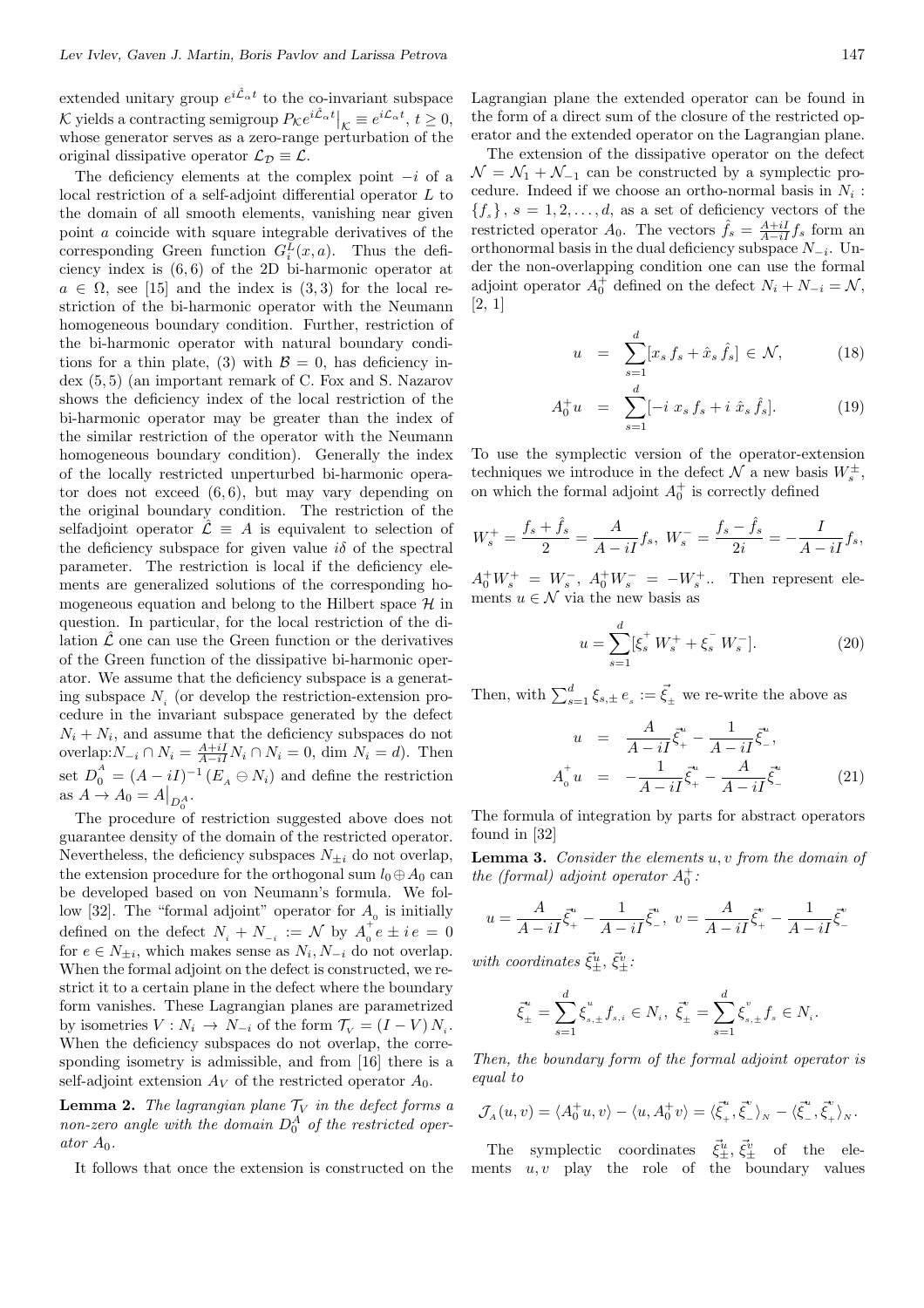extended unitary group  $e^{i\hat{\mathcal{L}}_{\alpha}t}$  to the co-invariant subspace  $\mathcal{K}$  yields a contracting semigroup  $P_{\mathcal{K}}e^{i\hat{\mathcal{L}}_{\alpha}t} \Big|_{\mathcal{K}} \equiv e^{i\mathcal{L}_{\alpha}t}, t \geq 0,$ whose generator serves as a zero-range perturbation of the original dissipative operator  $\mathcal{L}_D \equiv \mathcal{L}$ .

The deficiency elements at the complex point *−i* of a local restriction of a self-adjoint differential operator *L* to the domain of all smooth elements, vanishing near given point *a* coincide with square integrable derivatives of the corresponding Green function  $G_i^L(x, a)$ . Thus the deficiency index is (6*,* 6) of the 2D bi-harmonic operator at  $a \in \Omega$ , see [15] and the index is (3,3) for the local restriction of the bi-harmonic operator with the Neumann homogeneous boundary condition. Further, restriction of the bi-harmonic operator with natural boundary conditions for a thin plate, (3) with  $\mathcal{B} = 0$ , has deficiency index (5*,* 5) (an important remark of C. Fox and S. Nazarov shows the deficiency index of the local restriction of the bi-harmonic operator may be greater than the index of the similar restriction of the operator with the Neumann homogeneous boundary condition). Generally the index of the locally restricted unperturbed bi-harmonic operator does not exceed (6*,* 6), but may vary depending on the original boundary condition. The restriction of the selfadjoint operator  $\hat{\mathcal{L}} \equiv A$  is equivalent to selection of the deficiency subspace for given value  $i\delta$  of the spectral parameter. The restriction is local if the deficiency elements are generalized solutions of the corresponding homogeneous equation and belong to the Hilbert space *H* in question. In particular, for the local restriction of the dilation  $\hat{\mathcal{L}}$  one can use the Green function or the derivatives of the Green function of the dissipative bi-harmonic operator. We assume that the deficiency subspace is a generating subspace *N<sup>i</sup>* (or develop the restriction-extension procedure in the invariant subspace generated by the defect  $N_i + N_i$ , and assume that the deficiency subspaces do not overlap: $N_{-i}$  ∩  $N_i = \frac{A+iI}{A-iI}N_i$  ∩  $N_i = 0$ , dim  $N_i = d$ ). Then set  $D_0^A = (A - iI)^{-1} (E_A \ominus N_i)$  and define the restriction as  $A \to A_0 = A|_{D_0^A}$ .

The procedure of restriction suggested above does not guarantee density of the domain of the restricted operator. Nevertheless, the deficiency subspaces  $N_{\pm i}$  do not overlap, the extension procedure for the orthogonal sum  $l_0 \oplus A_0$  can be developed based on von Neumann's formula. We follow [32]. The "formal adjoint" operator for  $A_0$  is initially defined on the defect  $N_i + N_{-i} := \mathcal{N}$  by  $A_0^+$  $i_e^+e \pm i e = 0$ for  $e \in N_{\pm i}$ , which makes sense as  $N_i, N_{-i}$  do not overlap. When the formal adjoint on the defect is constructed, we restrict it to a certain plane in the defect where the boundary form vanishes. These Lagrangian planes are parametrized by isometries  $V: N_i \to N_{-i}$  of the form  $\mathcal{T}_V = (I - V) N_i$ . When the deficiency subspaces do not overlap, the corresponding isometry is admissible, and from [16] there is a self-adjoint extension  $A_V$  of the restricted operator  $A_0$ .

**Lemma 2.** *The lagrangian plane*  $\mathcal{T}_V$  *in the defect forms a non-zero angle with the domain*  $D_0^A$  *of the restricted operator A*0*.*

It follows that once the extension is constructed on the

Lagrangian plane the extended operator can be found in the form of a direct sum of the closure of the restricted operator and the extended operator on the Lagrangian plane.

The extension of the dissipative operator on the defect  $\mathcal{N} = \mathcal{N}_1 + \mathcal{N}_{-1}$  can be constructed by a symplectic procedure. Indeed if we choose an ortho-normal basis in  $N_i$ :  ${f_s}$ ,  $s = 1, 2, \ldots, d$ , as a set of deficiency vectors of the restricted operator  $A_0$ . The vectors  $\hat{f}_s = \frac{A+iI}{A-iI} f_s$  form an orthonormal basis in the dual deficiency subspace *N−<sup>i</sup>* . Under the non-overlapping condition one can use the formal adjoint operator  $A_0^+$  defined on the defect  $N_i + N_{-i} = \mathcal{N}$ , [2, 1]

$$
u = \sum_{s=1}^{d} [x_s \, f_s + \hat{x}_s \, \hat{f}_s] \in \mathcal{N}, \tag{18}
$$

$$
A_0^+ u = \sum_{s=1}^d [-i \; x_s \; f_s + i \; \hat{x}_s \; \hat{f}_s]. \tag{19}
$$

To use the symplectic version of the operator-extension techniques we introduce in the defect  $\mathcal{N}$  a new basis  $W_s^{\pm}$ , on which the formal adjoint  $A_0^+$  is correctly defined

$$
W_s^+ = \frac{f_s + \hat{f}_s}{2} = \frac{A}{A - iI} f_s, \ W_s^- = \frac{f_s - \hat{f}_s}{2i} = -\frac{I}{A - iI} f_s,
$$

 $A_0^+ W_s^+ = W_s^-$ ,  $A_0^+ W_s^- = -W_s^+$ .. Then represent elements  $u \in \mathcal{N}$  via the new basis as

$$
u = \sum_{s=1}^{d} [\xi_s^+ W_s^+ + \xi_s^- W_s^-]. \tag{20}
$$

Then, with  $\sum_{s=1}^{d} \xi_{s,\pm} e_s := \vec{\xi}_{\pm}$  we re-write the above as

$$
u = \frac{A}{A - iI} \vec{\xi}_{+}^{u} - \frac{1}{A - iI} \vec{\xi}_{-}^{u},
$$
  

$$
A_{0}^{+} u = -\frac{1}{A - iI} \vec{\xi}_{+}^{u} - \frac{A}{A - iI} \vec{\xi}_{-}^{u}
$$
 (21)

The formula of integration by parts for abstract operators found in [32]

**Lemma 3.** *Consider the elements u, v from the domain of the (formal) adjoint operator*  $A_0^+$ :

$$
u = \frac{A}{A - iI} \vec{\xi}^u_+ - \frac{1}{A - iI} \vec{\xi}^u_- , \ v = \frac{A}{A - iI} \vec{\xi}^v_+ - \frac{1}{A - iI} \vec{\xi}^v_-
$$

*with coordinates*  $\vec{\xi}_{\pm}^u$ ,  $\vec{\xi}_{\pm}^v$ :

$$
\vec{\xi}^u_{\pm} = \sum_{s=1}^d \xi^u_{s,\pm} f_{s,i} \in N_i, \ \vec{\xi}^v_{\pm} = \sum_{s=1}^d \xi^v_{s,\pm} f_s \in N_i.
$$

*Then, the boundary form of the formal adjoint operator is equal to*

$$
\mathcal{J}_A(u,v) = \langle A_0^+ u, v \rangle - \langle u, A_0^+ v \rangle = \langle \vec{\xi}_+^*, \vec{\xi}_-^* \rangle_N - \langle \vec{\xi}_-^*, \vec{\xi}_+^* \rangle_N.
$$

The symplectic coordinates  $\vec{\xi}^u_{\pm}, \vec{\xi}^v_{\pm}$  of the ele-<br>ments *u, v* play the role of the boundary values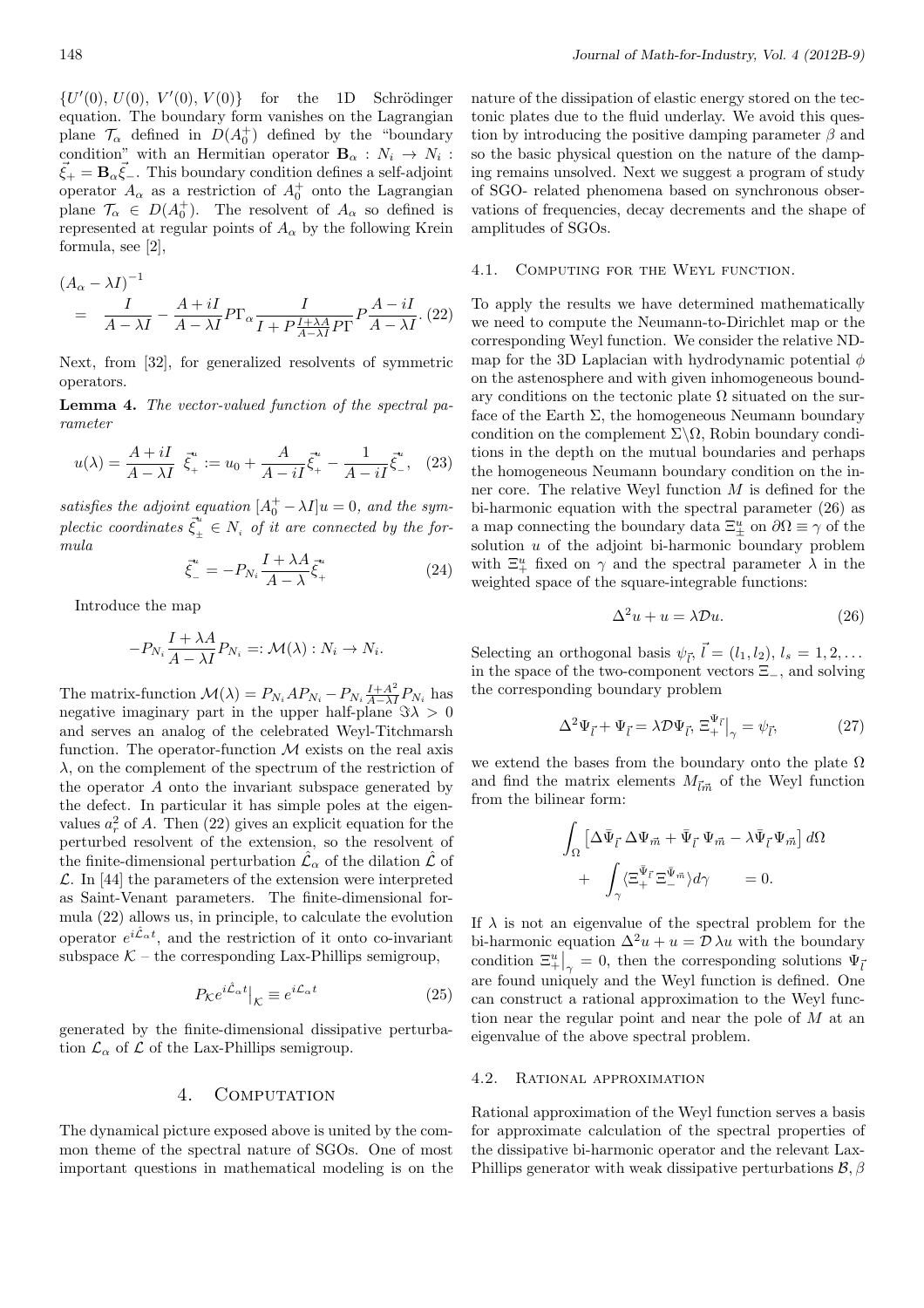$\{U'(0), U(0), V'(0), V(0)\}$  for the 1D Schrödinger equation. The boundary form vanishes on the Lagrangian plane  $\mathcal{T}_{\alpha}$  defined in  $D(A_0^+)$  defined by the "boundary" condition" with an Hermitian operator  $\mathbf{B}_{\alpha}: N_i \to N_i$ :  $\vec{\xi}_+ = \mathbf{B}_\alpha \vec{\xi}_-$ . This boundary condition defines a self-adjoint operator  $A_{\alpha}$  as a restriction of  $A_{0}^{+}$  onto the Lagrangian plane  $\mathcal{T}_{\alpha} \in D(A_0^+)$ . The resolvent of  $A_{\alpha}$  so defined is represented at regular points of  $A_{\alpha}$  by the following Krein formula, see [2],

$$
(A_{\alpha} - \lambda I)^{-1}
$$
  
=  $\frac{I}{A - \lambda I} - \frac{A + iI}{A - \lambda I} P \Gamma_{\alpha} \frac{I}{I + P \frac{I + \lambda A}{A - \lambda I} P \Gamma} P \frac{A - iI}{A - \lambda I}$ . (22)

Next, from [32], for generalized resolvents of symmetric operators.

**Lemma 4.** *The vector-valued function of the spectral parameter*

$$
u(\lambda) = \frac{A + iI}{A - \lambda I} \vec{\xi}^u + u_0 + \frac{A}{A - iI} \vec{\xi}^u + \frac{1}{A - iI} \vec{\xi}^u - (23)
$$

*satisfies the adjoint equation*  $[A_0^+ - \lambda I]u = 0$ , and the sym- $\vec{\xi}^u_\perp$  $\mu_{\pm}^u \in N_i$  *of it are connected by the formula*

$$
\bar{\xi}^u_- = -P_{N_i} \frac{I + \lambda A}{A - \lambda} \bar{\xi}^u_+ \tag{24}
$$

Introduce the map

$$
-P_{N_i}\frac{I+\lambda A}{A-\lambda I}P_{N_i} =: \mathcal{M}(\lambda) : N_i \to N_i.
$$

The matrix-function  $\mathcal{M}(\lambda) = P_{N_i} A P_{N_i} - P_{N_i} \frac{I + A^2}{A - \lambda I} P_{N_i}$  has negative imaginary part in the upper half-plane  $\Im \lambda > 0$ and serves an analog of the celebrated Weyl-Titchmarsh function. The operator-function *M* exists on the real axis *λ*, on the complement of the spectrum of the restriction of the operator *A* onto the invariant subspace generated by the defect. In particular it has simple poles at the eigenvalues  $a_r^2$  of *A*. Then (22) gives an explicit equation for the perturbed resolvent of the extension, so the resolvent of the finite-dimensional perturbation  $\hat{\mathcal{L}}_{\alpha}$  of the dilation  $\hat{\mathcal{L}}$  of *L*. In [44] the parameters of the extension were interpreted as Saint-Venant parameters. The finite-dimensional formula (22) allows us, in principle, to calculate the evolution operator  $e^{i\hat{\mathcal{L}}_{\alpha}t}$ , and the restriction of it onto co-invariant subspace  $K$  – the corresponding Lax-Phillips semigroup,

$$
P_{\mathcal{K}}e^{i\hat{\mathcal{L}}_{\alpha}t}|_{\mathcal{K}} \equiv e^{i\mathcal{L}_{\alpha}t} \tag{25}
$$

generated by the finite-dimensional dissipative perturbation  $\mathcal{L}_{\alpha}$  of  $\mathcal L$  of the Lax-Phillips semigroup.

### 4. COMPUTATION

The dynamical picture exposed above is united by the common theme of the spectral nature of SGOs. One of most important questions in mathematical modeling is on the

nature of the dissipation of elastic energy stored on the tectonic plates due to the fluid underlay. We avoid this question by introducing the positive damping parameter *β* and so the basic physical question on the nature of the damping remains unsolved. Next we suggest a program of study of SGO- related phenomena based on synchronous observations of frequencies, decay decrements and the shape of amplitudes of SGOs.

### 4.1. Computing for the Weyl function.

To apply the results we have determined mathematically we need to compute the Neumann-to-Dirichlet map or the corresponding Weyl function. We consider the relative NDmap for the 3D Laplacian with hydrodynamic potential *ϕ* on the astenosphere and with given inhomogeneous boundary conditions on the tectonic plate  $\Omega$  situated on the surface of the Earth  $\Sigma$ , the homogeneous Neumann boundary condition on the complement Σ*\*Ω, Robin boundary conditions in the depth on the mutual boundaries and perhaps the homogeneous Neumann boundary condition on the inner core. The relative Weyl function *M* is defined for the bi-harmonic equation with the spectral parameter (26) as a map connecting the boundary data  $\Xi^u_{\pm}$  on  $\partial\Omega \equiv \gamma$  of the solution *u* of the adjoint bi-harmonic boundary problem with  $\Xi^u_+$  fixed on  $\gamma$  and the spectral parameter  $\lambda$  in the weighted space of the square-integrable functions:

$$
\Delta^2 u + u = \lambda \mathcal{D}u. \tag{26}
$$

Selecting an orthogonal basis  $\psi_{\vec{l}}, \vec{l} = (l_1, l_2), l_s = 1, 2, \ldots$ in the space of the two-component vectors Ξ*−*, and solving the corresponding boundary problem

$$
\Delta^2 \Psi_{\vec{l}} + \Psi_{\vec{l}} = \lambda \mathcal{D} \Psi_{\vec{l}}, \ \Xi_{+}^{\Psi_{\vec{l}}}\big|_{\gamma} = \psi_{\vec{l}}, \tag{27}
$$

we extend the bases from the boundary onto the plate  $\Omega$ and find the matrix elements  $M_{\vec{l}\vec{m}}$  of the Weyl function from the bilinear form:

$$
\int_{\Omega} \left[ \Delta \bar{\Psi}_{\vec{l}} \, \Delta \Psi_{\vec{m}} + \bar{\Psi}_{\vec{l}} \, \Psi_{\vec{m}} - \lambda \bar{\Psi}_{\vec{l}} \, \Psi_{\vec{m}} \right] d\Omega \n+ \int_{\gamma} \langle \Xi_{+}^{\bar{\Psi}_{\vec{l}}} \Xi_{-}^{\bar{\Psi}_{\vec{m}}} \rangle d\gamma = 0.
$$

If  $\lambda$  is not an eigenvalue of the spectral problem for the bi-harmonic equation  $\Delta^2 u + u = \mathcal{D} \lambda u$  with the boundary condition  $\mathbb{E}^u_+|_{\gamma} = 0$ , then the corresponding solutions  $\Psi_{\bar{l}}$ are found uniquely and the Weyl function is defined. One can construct a rational approximation to the Weyl function near the regular point and near the pole of *M* at an eigenvalue of the above spectral problem.

### 4.2. Rational approximation

Rational approximation of the Weyl function serves a basis for approximate calculation of the spectral properties of the dissipative bi-harmonic operator and the relevant Lax-Phillips generator with weak dissipative perturbations *B, β*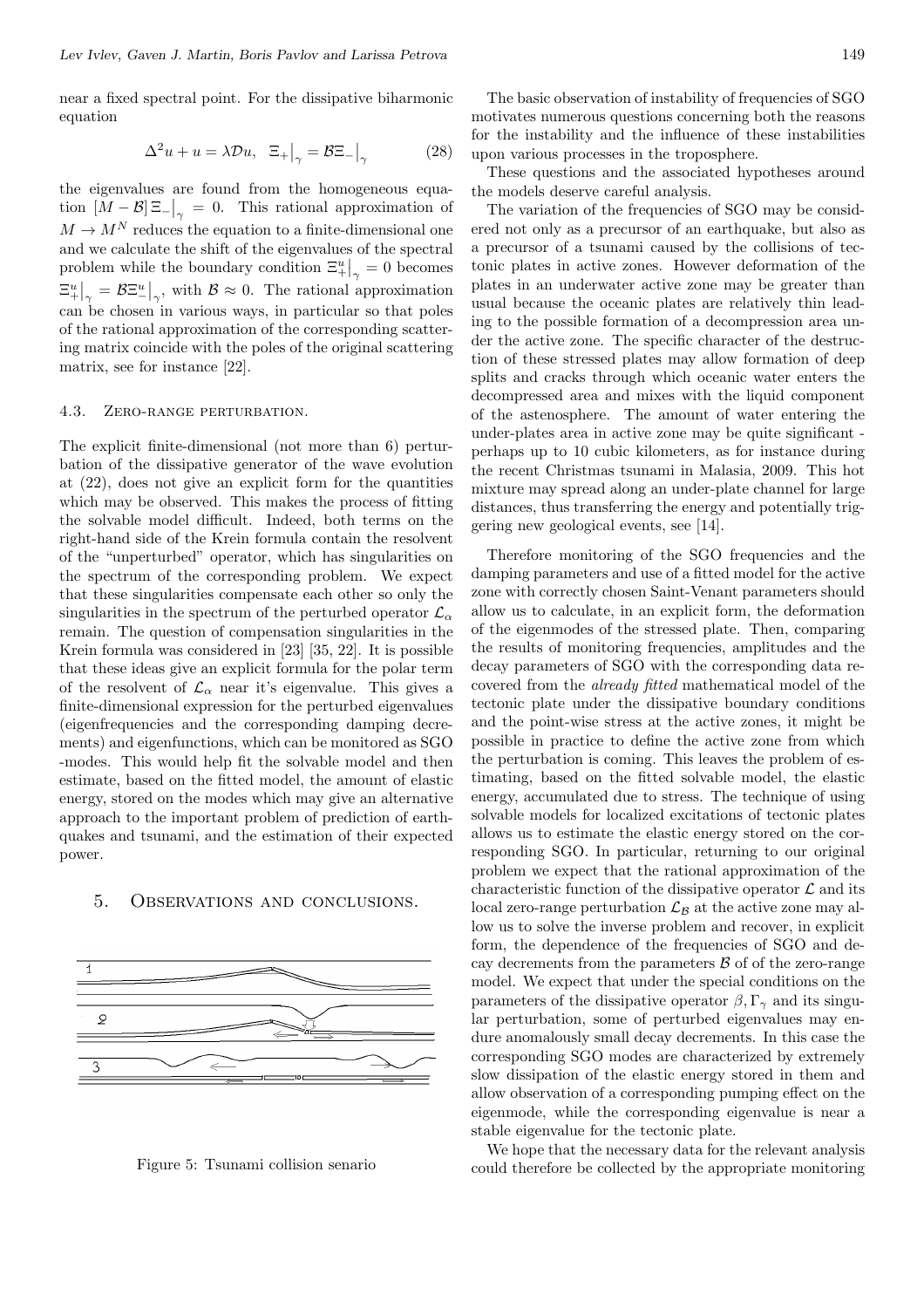near a fixed spectral point. For the dissipative biharmonic equation

$$
\Delta^2 u + u = \lambda \mathcal{D}u, \ \Xi_+ \big|_{\gamma} = \mathcal{B}\Xi_- \big|_{\gamma} \tag{28}
$$

the eigenvalues are found from the homogeneous equation  $[M - B] \Xi - \big|_{\gamma} = 0$ . This rational approximation of  $M \to M^N$  reduces the equation to a finite-dimensional one and we calculate the shift of the eigenvalues of the spectral problem while the boundary condition  $\mathbb{E}_{+}^{u}|_{\gamma} = 0$  becomes  $\left. \Xi_{+}^{u}\right\vert _{\gamma}=\mathcal{B}\Xi_{-}^{u}$  $\left( \frac{u}{\gamma} \right)$ , with  $\beta \approx 0$ . The rational approximation can be chosen in various ways, in particular so that poles of the rational approximation of the corresponding scattering matrix coincide with the poles of the original scattering matrix, see for instance [22].

### 4.3. Zero-range perturbation.

The explicit finite-dimensional (not more than 6) perturbation of the dissipative generator of the wave evolution at (22), does not give an explicit form for the quantities which may be observed. This makes the process of fitting the solvable model difficult. Indeed, both terms on the right-hand side of the Krein formula contain the resolvent of the "unperturbed" operator, which has singularities on the spectrum of the corresponding problem. We expect that these singularities compensate each other so only the singularities in the spectrum of the perturbed operator  $\mathcal{L}_{\alpha}$ remain. The question of compensation singularities in the Krein formula was considered in [23] [35, 22]. It is possible that these ideas give an explicit formula for the polar term of the resolvent of  $\mathcal{L}_{\alpha}$  near it's eigenvalue. This gives a finite-dimensional expression for the perturbed eigenvalues (eigenfrequencies and the corresponding damping decrements) and eigenfunctions, which can be monitored as SGO -modes. This would help fit the solvable model and then estimate, based on the fitted model, the amount of elastic energy, stored on the modes which may give an alternative approach to the important problem of prediction of earthquakes and tsunami, and the estimation of their expected power.

#### 5. Observations and conclusions.



Figure 5: Tsunami collision senario

The basic observation of instability of frequencies of SGO motivates numerous questions concerning both the reasons for the instability and the influence of these instabilities upon various processes in the troposphere.

These questions and the associated hypotheses around the models deserve careful analysis.

The variation of the frequencies of SGO may be considered not only as a precursor of an earthquake, but also as a precursor of a tsunami caused by the collisions of tectonic plates in active zones. However deformation of the plates in an underwater active zone may be greater than usual because the oceanic plates are relatively thin leading to the possible formation of a decompression area under the active zone. The specific character of the destruction of these stressed plates may allow formation of deep splits and cracks through which oceanic water enters the decompressed area and mixes with the liquid component of the astenosphere. The amount of water entering the under-plates area in active zone may be quite significant perhaps up to 10 cubic kilometers, as for instance during the recent Christmas tsunami in Malasia, 2009. This hot mixture may spread along an under-plate channel for large distances, thus transferring the energy and potentially triggering new geological events, see [14].

Therefore monitoring of the SGO frequencies and the damping parameters and use of a fitted model for the active zone with correctly chosen Saint-Venant parameters should allow us to calculate, in an explicit form, the deformation of the eigenmodes of the stressed plate. Then, comparing the results of monitoring frequencies, amplitudes and the decay parameters of SGO with the corresponding data recovered from the *already fitted* mathematical model of the tectonic plate under the dissipative boundary conditions and the point-wise stress at the active zones, it might be possible in practice to define the active zone from which the perturbation is coming. This leaves the problem of estimating, based on the fitted solvable model, the elastic energy, accumulated due to stress. The technique of using solvable models for localized excitations of tectonic plates allows us to estimate the elastic energy stored on the corresponding SGO. In particular, returning to our original problem we expect that the rational approximation of the characteristic function of the dissipative operator *L* and its local zero-range perturbation  $\mathcal{L}_\mathcal{B}$  at the active zone may allow us to solve the inverse problem and recover, in explicit form, the dependence of the frequencies of SGO and decay decrements from the parameters *B* of of the zero-range model. We expect that under the special conditions on the parameters of the dissipative operator  $\beta$ ,  $\Gamma_{\gamma}$  and its singular perturbation, some of perturbed eigenvalues may endure anomalously small decay decrements. In this case the corresponding SGO modes are characterized by extremely slow dissipation of the elastic energy stored in them and allow observation of a corresponding pumping effect on the eigenmode, while the corresponding eigenvalue is near a stable eigenvalue for the tectonic plate.

We hope that the necessary data for the relevant analysis could therefore be collected by the appropriate monitoring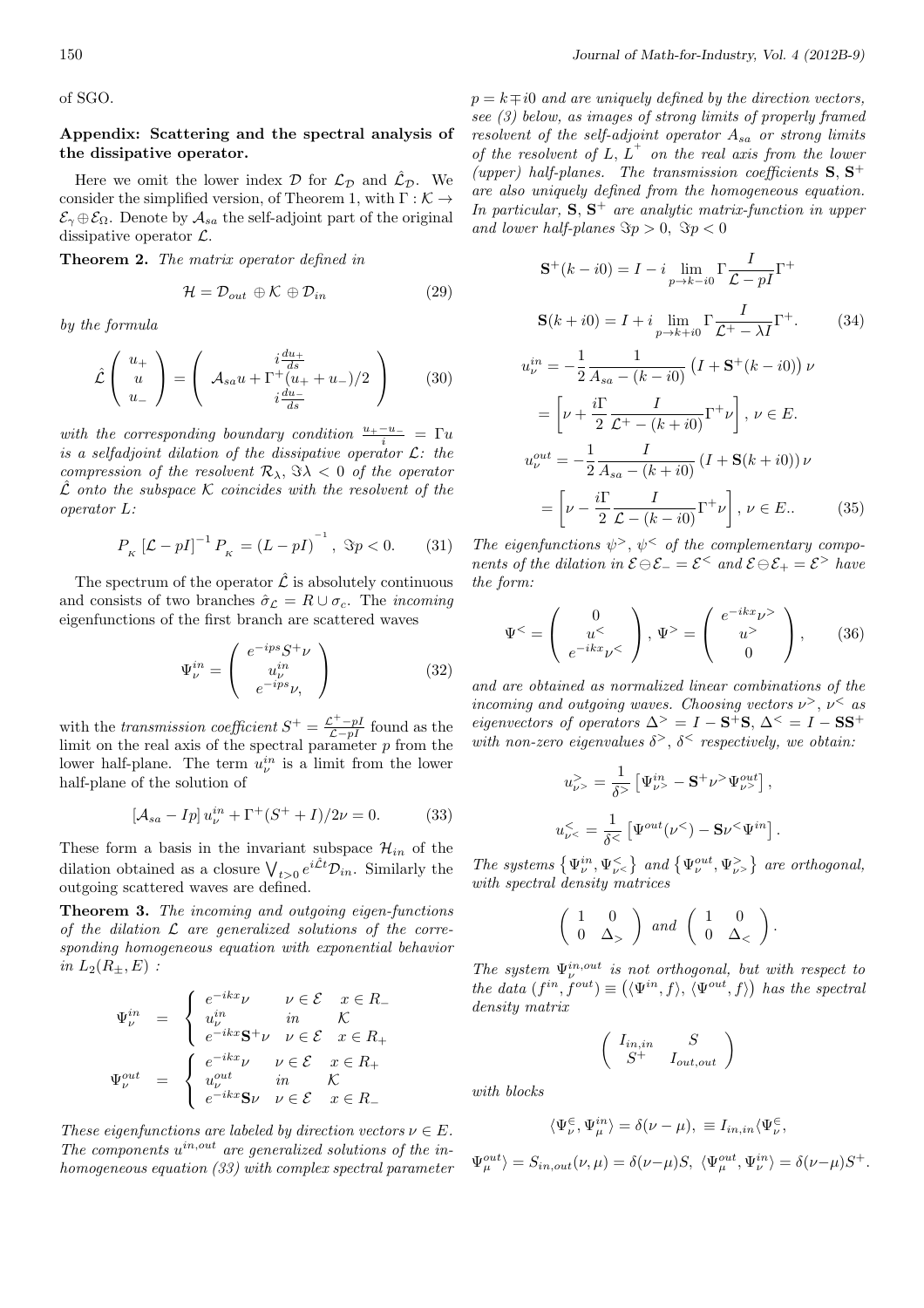of SGO.

### **Appendix: Scattering and the spectral analysis of the dissipative operator.**

Here we omit the lower index  $D$  for  $\mathcal{L}_D$  and  $\hat{\mathcal{L}}_D$ . We consider the simplified version, of Theorem 1, with Γ : *K →*  $\mathcal{E}_{\gamma} \oplus \mathcal{E}_{\Omega}$ . Denote by  $\mathcal{A}_{sa}$  the self-adjoint part of the original dissipative operator *L*.

**Theorem 2.** *The matrix operator defined in*

$$
\mathcal{H} = \mathcal{D}_{out} \oplus \mathcal{K} \oplus \mathcal{D}_{in} \tag{29}
$$

*by the formula*

$$
\hat{\mathcal{L}}\left(\begin{array}{c} u_+ \\ u_- \\ u_- \end{array}\right) = \left(\begin{array}{c} i\frac{du_+}{ds} \\ \mathcal{A}_{sa}u + \Gamma^+(u_+ + u_-)/2 \\ i\frac{du_-}{ds} \end{array}\right) \tag{30}
$$

*with the corresponding boundary condition*  $\frac{u_+ - u_-}{i} = \Gamma u$ *is a selfadjoint dilation of the dissipative operator L: the compression of the resolvent*  $\mathcal{R}_{\lambda}$ ,  $\Im \lambda < 0$  *of the operator*  $\hat{\mathcal{L}}$  *onto the subspace*  $\mathcal K$  *coincides with the resolvent of the operator L:*

$$
P_{K} \left[ \mathcal{L} - pI \right]^{-1} P_{K} = \left( L - pI \right)^{-1}, \ \Im p < 0. \tag{31}
$$

The spectrum of the operator  $\hat{\mathcal{L}}$  is absolutely continuous and consists of two branches  $\hat{\sigma}_{\mathcal{L}} = R \cup \sigma_c$ . The *incoming* eigenfunctions of the first branch are scattered waves

$$
\Psi_{\nu}^{in} = \left( \begin{array}{c} e^{-ips} S^{+} \nu \\ u_{\nu}^{in} \\ e^{-ips} \nu, \end{array} \right) \tag{32}
$$

with the *transmission coefficient*  $S^+ = \frac{\mathcal{L}^+ - pI}{\mathcal{L} - pI}$  found as the limit on the real axis of the spectral parameter  $p$  from the lower half-plane. The term  $u_{\nu}^{in}$  is a limit from the lower half-plane of the solution of

$$
[\mathcal{A}_{sa} - Ip] u_{\nu}^{in} + \Gamma^{+}(S^{+} + I)/2\nu = 0.
$$
 (33)

These form a basis in the invariant subspace  $\mathcal{H}_{in}$  of the dilation obtained as a closure  $\bigvee_{t>0} e^{i\hat{\mathcal{L}}t} \mathcal{D}_{in}$ . Similarly the outgoing scattered waves are defined.

**Theorem 3.** *The incoming and outgoing eigen-functions of the dilation L are generalized solutions of the corresponding homogeneous equation with exponential behavior in*  $L_2(R_{\pm}, E)$  *:* 

$$
\Psi_{\nu}^{in} = \begin{cases}\ne^{-ikx} \nu & \nu \in \mathcal{E} \quad x \in R_{-} \\
u_{\nu}^{in} & \text{in} \quad \mathcal{K} \\
e^{-ikx} \mathbf{S}^{+} \nu & \nu \in \mathcal{E} \quad x \in R_{+} \\
\Psi_{\nu}^{out} = \begin{cases}\ne^{-ikx} \nu & \nu \in \mathcal{E} \quad x \in R_{+} \\
u_{\nu}^{out} & \text{in} \quad \mathcal{K} \\
e^{-ikx} \mathbf{S} \nu & \nu \in \mathcal{E} \quad x \in R_{-}\n\end{cases}\n\end{cases}
$$

*These eigenfunctions are labeled by direction vectors*  $\nu \in E$ . *The components u in,out are generalized solutions of the inhomogeneous equation (33) with complex spectral parameter*  $p = k \mp i0$  *and are uniquely defined by the direction vectors, see (3) below, as images of strong limits of properly framed resolvent of the self-adjoint operator Asa or strong limits of the resolvent of L, L*<sup>+</sup> *on the real axis from the lower* (upper) half-planes. The transmission coefficients  $S$ ,  $S$ <sup>+</sup> *are also uniquely defined from the homogeneous equation. In particular,* **S***,* **S** <sup>+</sup> *are analytic matrix-function in upper and lower half-planes*  $\Im p > 0$ ,  $\Im p < 0$ 

$$
\mathbf{S}^{+}(k - i0) = I - i \lim_{p \to k - i0} \Gamma \frac{I}{\mathcal{L} - pI} \Gamma^{+}
$$
  
\n
$$
\mathbf{S}(k + i0) = I + i \lim_{p \to k + i0} \Gamma \frac{I}{\mathcal{L}^{+} - \lambda I} \Gamma^{+}.
$$
 (34)  
\n
$$
u_{\nu}^{in} = -\frac{1}{2} \frac{1}{A_{sa} - (k - i0)} \left( I + \mathbf{S}^{+}(k - i0) \right) \nu
$$
  
\n
$$
= \left[ \nu + \frac{i\Gamma}{2} \frac{I}{\mathcal{L}^{+} - (k + i0)} \Gamma^{+} \nu \right], \quad \nu \in E.
$$
  
\n
$$
u_{\nu}^{out} = -\frac{1}{2} \frac{I}{A_{sa} - (k + i0)} \left( I + \mathbf{S}(k + i0) \right) \nu
$$

$$
= \left[\nu - \frac{i\Gamma}{2} \frac{I}{\mathcal{L} - (k - i0)} \Gamma^{+} \nu\right], \nu \in E.. \tag{35}
$$

*The eigenfunctions*  $\psi^>$ ,  $\psi^<$  *of the complementary components of the dilation in*  $\mathcal{E} \ominus \mathcal{E}_- = \mathcal{E}^{\le}$  *and*  $\mathcal{E} \ominus \mathcal{E}_+ = \mathcal{E}^{\ge}$  *have the form:*

$$
\Psi^{\leq} = \left( \begin{array}{c} 0 \\ u^{\leq} \\ e^{-ikx} \nu^{\leq} \end{array} \right), \Psi^{\geq} = \left( \begin{array}{c} e^{-ikx} \nu^{\geq} \\ u^{\geq} \\ 0 \end{array} \right), \qquad (36)
$$

*and are obtained as normalized linear combinations of the incoming and outgoing waves. Choosing vectors*  $\nu$ ,  $\nu$  as *eigenvectors of operators*  $\Delta^> = I - S^+S$ ,  $\Delta^< = I - SS^+$ with non-zero eigenvalues  $\delta^>$ ,  $\delta^<$  respectively, we obtain:

$$
u_{\nu>}^{\rangle} = \frac{1}{\delta^{\rangle}} \left[ \Psi_{\nu>}^{in} - \mathbf{S}^{+} \nu^{\rangle} \Psi_{\nu}^{out} \right],
$$
  

$$
u_{\nu<}^{<} = \frac{1}{\delta^{<}} \left[ \Psi^{out}(\nu^{<}) - \mathbf{S} \nu^{<} \Psi^{in} \right].
$$

*The systems*  $\{\Psi_{\nu}^{in}, \Psi_{\nu}^{<}\}$  *and*  $\{\Psi_{\nu}^{out}, \Psi_{\nu}^{>}\}$  *are orthogonal, with spectral density matrices*

$$
\left(\begin{array}{cc} 1 & 0 \\ 0 & \Delta_{>}\end{array}\right) \text{ and } \left(\begin{array}{cc} 1 & 0 \\ 0 & \Delta_{<}\end{array}\right).
$$

*The system*  $\Psi_{\nu}^{in,out}$  *is not orthogonal, but with respect to the data*  $(f^{in}, f^{out}) \equiv (\langle \Psi^{in}, f \rangle, \langle \Psi^{out}, f \rangle)$  has the spectral *density matrix*

$$
\left(\begin{array}{cc} I_{in,in} & S \\ S^+ & I_{out,out} \end{array}\right)
$$

*with blocks*

$$
\langle \Psi_\nu^\in, \Psi_\mu^{in} \rangle = \delta(\nu-\mu), \ \equiv I_{in,in} \langle \Psi_\nu^\in,
$$

$$
\Psi_{\mu}^{out} \rangle = S_{in,out}(\nu, \mu) = \delta(\nu - \mu)S, \ \langle \Psi_{\mu}^{out}, \Psi_{\nu}^{in} \rangle = \delta(\nu - \mu)S^{+}.
$$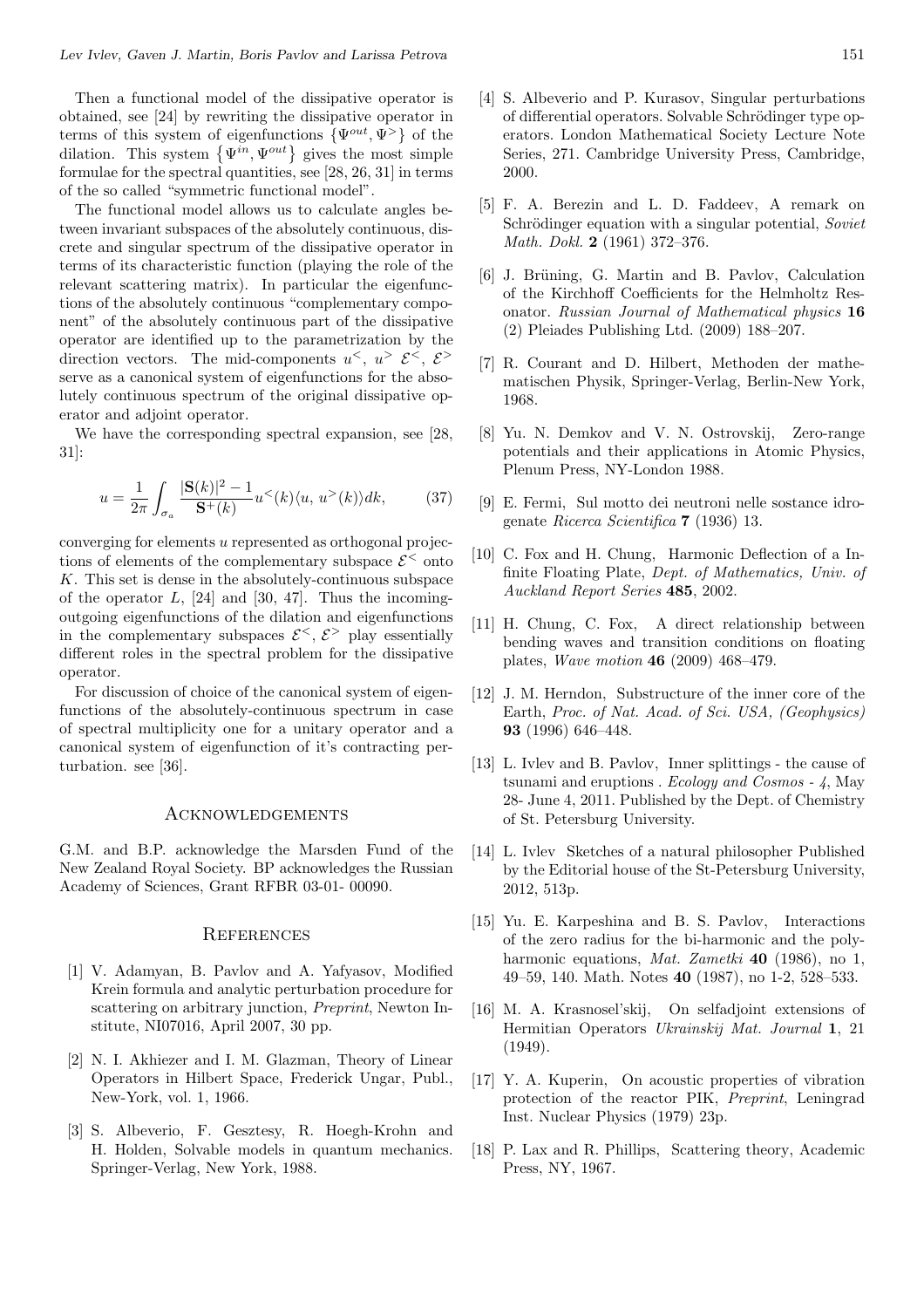Then a functional model of the dissipative operator is obtained, see [24] by rewriting the dissipative operator in terms of this system of eigenfunctions *{*Ψ*out ,* Ψ*<sup>&</sup>gt;}* of the dilation. This system  $\{\Psi^{in}, \Psi^{out}\}$  gives the most simple formulae for the spectral quantities, see [28, 26, 31] in terms of the so called "symmetric functional model".

The functional model allows us to calculate angles between invariant subspaces of the absolutely continuous, discrete and singular spectrum of the dissipative operator in terms of its characteristic function (playing the role of the relevant scattering matrix). In particular the eigenfunctions of the absolutely continuous "complementary component" of the absolutely continuous part of the dissipative operator are identified up to the parametrization by the direction vectors. The mid-components  $u^<$ ,  $u^> \mathcal{E}^<$ ,  $\mathcal{E}^>$ serve as a canonical system of eigenfunctions for the absolutely continuous spectrum of the original dissipative operator and adjoint operator.

We have the corresponding spectral expansion, see [28, 31]:

$$
u = \frac{1}{2\pi} \int_{\sigma_a} \frac{|\mathbf{S}(k)|^2 - 1}{\mathbf{S}^+(k)} u^<(k) \langle u, u^>(k) \rangle dk, \tag{37}
$$

converging for elements *u* represented as orthogonal projections of elements of the complementary subspace  $\mathcal{E}^{\le}$  onto *K*. This set is dense in the absolutely-continuous subspace of the operator *L*, [24] and [30, 47]. Thus the incomingoutgoing eigenfunctions of the dilation and eigenfunctions in the complementary subspaces  $\mathcal{E}^{\le}$ ,  $\mathcal{E}^{\ge}$  play essentially different roles in the spectral problem for the dissipative operator.

For discussion of choice of the canonical system of eigenfunctions of the absolutely-continuous spectrum in case of spectral multiplicity one for a unitary operator and a canonical system of eigenfunction of it's contracting perturbation. see [36].

### **ACKNOWLEDGEMENTS**

G.M. and B.P. acknowledge the Marsden Fund of the New Zealand Royal Society. BP acknowledges the Russian Academy of Sciences, Grant RFBR 03-01- 00090.

### **REFERENCES**

- [1] V. Adamyan, B. Pavlov and A. Yafyasov, Modified Krein formula and analytic perturbation procedure for scattering on arbitrary junction, *Preprint*, Newton Institute, NI07016, April 2007, 30 pp.
- [2] N. I. Akhiezer and I. M. Glazman, Theory of Linear Operators in Hilbert Space, Frederick Ungar, Publ., New-York, vol. 1, 1966.
- [3] S. Albeverio, F. Gesztesy, R. Hoegh-Krohn and H. Holden, Solvable models in quantum mechanics. Springer-Verlag, New York, 1988.
- [4] S. Albeverio and P. Kurasov, Singular perturbations of differential operators. Solvable Schrödinger type operators. London Mathematical Society Lecture Note Series, 271. Cambridge University Press, Cambridge, 2000.
- [5] F. A. Berezin and L. D. Faddeev, A remark on Schrödinger equation with a singular potential, *Soviet Math. Dokl.* **2** (1961) 372–376.
- [6] J. Brüning, G. Martin and B. Pavlov, Calculation of the Kirchhoff Coefficients for the Helmholtz Resonator. *Russian Journal of Mathematical physics* **16** (2) Pleiades Publishing Ltd. (2009) 188–207.
- [7] R. Courant and D. Hilbert, Methoden der mathematischen Physik, Springer-Verlag, Berlin-New York, 1968.
- [8] Yu. N. Demkov and V. N. Ostrovskij, Zero-range potentials and their applications in Atomic Physics, Plenum Press, NY-London 1988.
- [9] E. Fermi, Sul motto dei neutroni nelle sostance idrogenate *Ricerca Scientifica* **7** (1936) 13.
- [10] C. Fox and H. Chung, Harmonic Deflection of a Infinite Floating Plate, *Dept. of Mathematics, Univ. of Auckland Report Series* **485**, 2002.
- [11] H. Chung, C. Fox, A direct relationship between bending waves and transition conditions on floating plates, *Wave motion* **46** (2009) 468–479.
- [12] J. M. Herndon, Substructure of the inner core of the Earth, *Proc. of Nat. Acad. of Sci. USA, (Geophysics)* **93** (1996) 646–448.
- [13] L. Ivlev and B. Pavlov, Inner splittings the cause of tsunami and eruptions . *Ecology and Cosmos - 4*, May 28- June 4, 2011. Published by the Dept. of Chemistry of St. Petersburg University.
- [14] L. Ivlev Sketches of a natural philosopher Published by the Editorial house of the St-Petersburg University, 2012, 513p.
- [15] Yu. E. Karpeshina and B. S. Pavlov, Interactions of the zero radius for the bi-harmonic and the polyharmonic equations, *Mat. Zametki* **40** (1986), no 1, 49–59, 140. Math. Notes **40** (1987), no 1-2, 528–533.
- [16] M. A. Krasnosel'skij, On selfadjoint extensions of Hermitian Operators *Ukrainskij Mat. Journal* **1**, 21 (1949).
- [17] Y. A. Kuperin, On acoustic properties of vibration protection of the reactor PIK, *Preprint*, Leningrad Inst. Nuclear Physics (1979) 23p.
- [18] P. Lax and R. Phillips, Scattering theory, Academic Press, NY, 1967.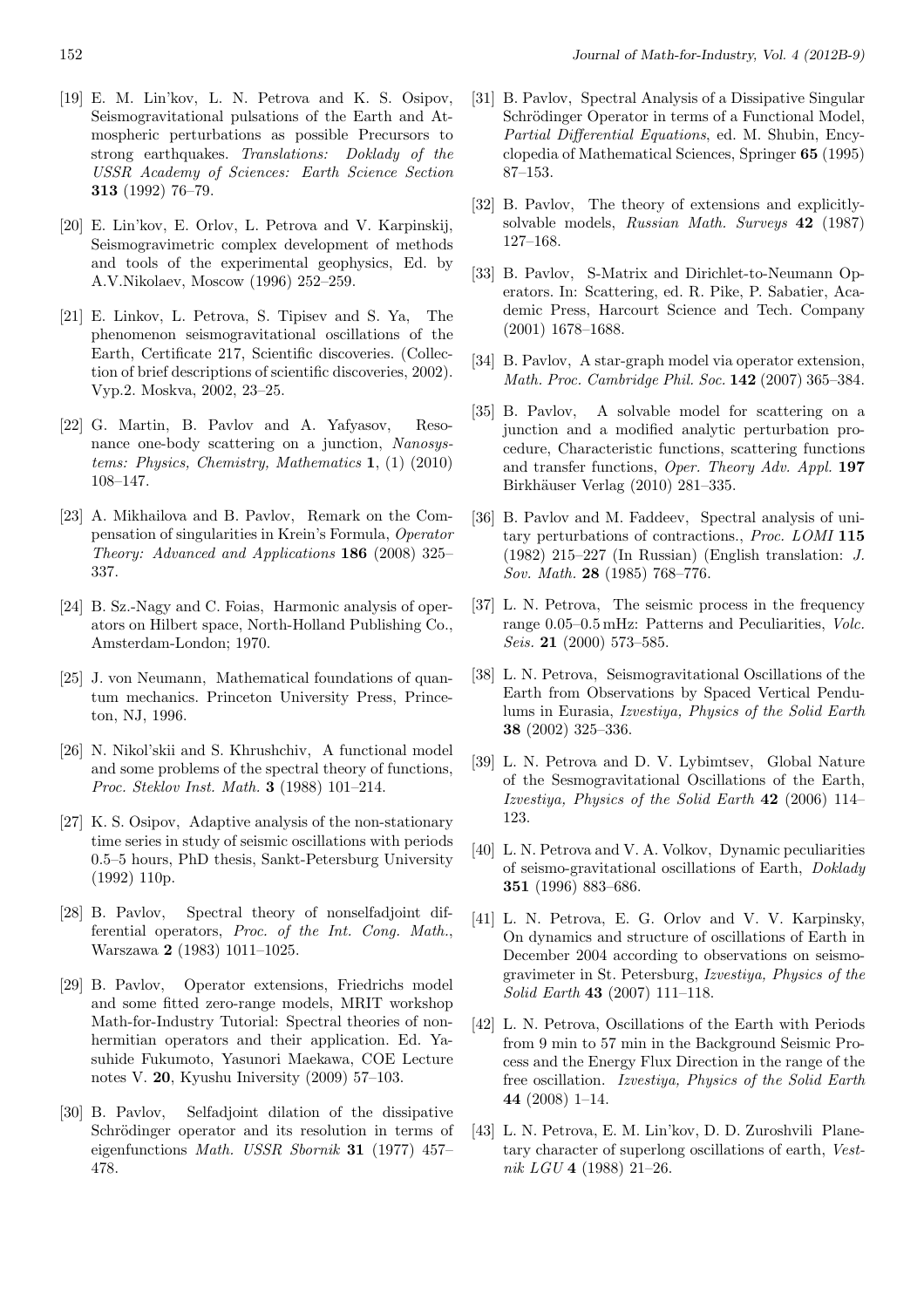- [19] E. M. Lin'kov, L. N. Petrova and K. S. Osipov, Seismogravitational pulsations of the Earth and Atmospheric perturbations as possible Precursors to strong earthquakes. *Translations: Doklady of the USSR Academy of Sciences: Earth Science Section* **313** (1992) 76–79.
- [20] E. Lin'kov, E. Orlov, L. Petrova and V. Karpinskij, Seismogravimetric complex development of methods and tools of the experimental geophysics, Ed. by A.V.Nikolaev, Moscow (1996) 252–259.
- [21] E. Linkov, L. Petrova, S. Tipisev and S. Ya, The phenomenon seismogravitational oscillations of the Earth, Certificate 217, Scientific discoveries. (Collection of brief descriptions of scientific discoveries, 2002). Vyp.2. Moskva, 2002, 23–25.
- [22] G. Martin, B. Pavlov and A. Yafyasov, Resonance one-body scattering on a junction, *Nanosystems: Physics, Chemistry, Mathematics* **1**, (1) (2010) 108–147.
- [23] A. Mikhailova and B. Pavlov, Remark on the Compensation of singularities in Krein's Formula, *Operator Theory: Advanced and Applications* **186** (2008) 325– 337.
- [24] B. Sz.-Nagy and C. Foias, Harmonic analysis of operators on Hilbert space, North-Holland Publishing Co., Amsterdam-London; 1970.
- [25] J. von Neumann, Mathematical foundations of quantum mechanics. Princeton University Press, Princeton, NJ, 1996.
- [26] N. Nikol'skii and S. Khrushchiv, A functional model and some problems of the spectral theory of functions, *Proc. Steklov Inst. Math.* **3** (1988) 101–214.
- [27] K. S. Osipov, Adaptive analysis of the non-stationary time series in study of seismic oscillations with periods 0.5–5 hours, PhD thesis, Sankt-Petersburg University (1992) 110p.
- [28] B. Pavlov, Spectral theory of nonselfadjoint differential operators, *Proc. of the Int. Cong. Math.*, Warszawa **2** (1983) 1011–1025.
- [29] B. Pavlov, Operator extensions, Friedrichs model and some fitted zero-range models, MRIT workshop Math-for-Industry Tutorial: Spectral theories of nonhermitian operators and their application. Ed. Yasuhide Fukumoto, Yasunori Maekawa, COE Lecture notes V. **20**, Kyushu Iniversity (2009) 57–103.
- [30] B. Pavlov, Selfadjoint dilation of the dissipative Schrödinger operator and its resolution in terms of eigenfunctions *Math. USSR Sbornik* **31** (1977) 457– 478.
- [31] B. Pavlov, Spectral Analysis of a Dissipative Singular Schrödinger Operator in terms of a Functional Model, *Partial Differential Equations*, ed. M. Shubin, Encyclopedia of Mathematical Sciences, Springer **65** (1995) 87–153.
- [32] B. Pavlov, The theory of extensions and explicitlysolvable models, *Russian Math. Surveys* **42** (1987) 127–168.
- [33] B. Pavlov, S-Matrix and Dirichlet-to-Neumann Operators. In: Scattering, ed. R. Pike, P. Sabatier, Academic Press, Harcourt Science and Tech. Company (2001) 1678–1688.
- [34] B. Pavlov, A star-graph model via operator extension, *Math. Proc. Cambridge Phil. Soc.* **142** (2007) 365–384.
- [35] B. Pavlov, A solvable model for scattering on a junction and a modified analytic perturbation procedure, Characteristic functions, scattering functions and transfer functions, *Oper. Theory Adv. Appl.* **197** Birkhäuser Verlag (2010) 281–335.
- [36] B. Pavlov and M. Faddeev, Spectral analysis of unitary perturbations of contractions., *Proc. LOMI* **115** (1982) 215–227 (In Russian) (English translation: *J. Sov. Math.* **28** (1985) 768–776.
- [37] L. N. Petrova, The seismic process in the frequency range 0.05–0.5 mHz: Patterns and Peculiarities, *Volc. Seis.* **21** (2000) 573–585.
- [38] L. N. Petrova, Seismogravitational Oscillations of the Earth from Observations by Spaced Vertical Pendulums in Eurasia, *Izvestiya, Physics of the Solid Earth* **38** (2002) 325–336.
- [39] L. N. Petrova and D. V. Lybimtsev, Global Nature of the Sesmogravitational Oscillations of the Earth, *Izvestiya, Physics of the Solid Earth* **42** (2006) 114– 123.
- [40] L. N. Petrova and V. A. Volkov, Dynamic peculiarities of seismo-gravitational oscillations of Earth, *Doklady* **351** (1996) 883–686.
- [41] L. N. Petrova, E. G. Orlov and V. V. Karpinsky, On dynamics and structure of oscillations of Earth in December 2004 according to observations on seismogravimeter in St. Petersburg, *Izvestiya, Physics of the Solid Earth* **43** (2007) 111–118.
- [42] L. N. Petrova, Oscillations of the Earth with Periods from 9 min to 57 min in the Background Seismic Process and the Energy Flux Direction in the range of the free oscillation. *Izvestiya, Physics of the Solid Earth* **44** (2008) 1–14.
- [43] L. N. Petrova, E. M. Lin'kov, D. D. Zuroshvili Planetary character of superlong oscillations of earth, *Vestnik LGU* **4** (1988) 21–26.